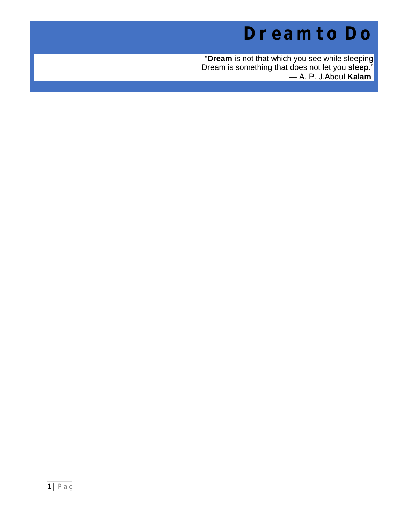# **Dream to Do**

"**Dream** is not that which you see while sleeping Dream is something that does not let you **sleep**." ― A. P. J.Abdul **Kalam**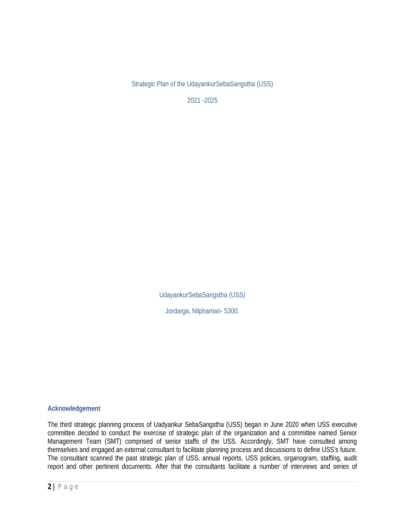Strategic Plan of the UdayankurSebaSangstha (USS)

2021 -2025

UdayankurSebaSangstha (USS)

Jordarga, Nilphamari- 5300.

#### **Acknowledgement**

The third strategic planning process of Uadyankur SebaSangstha (USS) began in June 2020 when USS executive committee decided to conduct the exercise of strategic plan of the organization and a committee named Senior Management Team (SMT) comprised of senior staffs of the USS. Accordingly, SMT have consulted among themselves and engaged an external consultant to facilitate planning process and discussions to define USS's future. The consultant scanned the past strategic plan of USS, annual reports, USS policies, organogram, staffing, audit report and other pertinent documents. After that the consultants facilitate a number of interviews and series of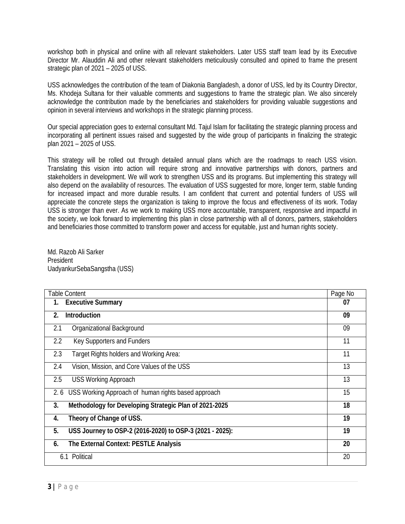workshop both in physical and online with all relevant stakeholders. Later USS staff team lead by its Executive Director Mr. Alauddin Ali and other relevant stakeholders meticulously consulted and opined to frame the present strategic plan of 2021 – 2025 of USS.

USS acknowledges the contribution of the team of Diakonia Bangladesh, a donor of USS, led by its Country Director, Ms. Khodeja Sultana for their valuable comments and suggestions to frame the strategic plan. We also sincerely acknowledge the contribution made by the beneficiaries and stakeholders for providing valuable suggestions and opinion in several interviews and workshops in the strategic planning process.

Our special appreciation goes to external consultant Md. Tajul Islam for facilitating the strategic planning process and incorporating all pertinent issues raised and suggested by the wide group of participants in finalizing the strategic plan 2021 – 2025 of USS.

This strategy will be rolled out through detailed annual plans which are the roadmaps to reach USS vision. Translating this vision into action will require strong and innovative partnerships with donors, partners and stakeholders in development. We will work to strengthen USS and its programs. But implementing this strategy will also depend on the availability of resources. The evaluation of USS suggested for more, longer term, stable funding for increased impact and more durable results. I am confident that current and potential funders of USS will appreciate the concrete steps the organization is taking to improve the focus and effectiveness of its work. Today USS is stronger than ever. As we work to making USS more accountable, transparent, responsive and impactful in the society, we look forward to implementing this plan in close partnership with all of donors, partners, stakeholders and beneficiaries those committed to transform power and access for equitable, just and human rights society.

Md. Razob Ali Sarker President UadyankurSebaSangstha (USS)

| <b>Table Content</b>                                           | Page No |
|----------------------------------------------------------------|---------|
| <b>Executive Summary</b><br>1.                                 | 07      |
| <b>Introduction</b><br>$2_{\cdot}$                             | 09      |
| 2.1<br>Organizational Background                               | 09      |
| Key Supporters and Funders<br>2.2                              | 11      |
| 2.3<br>Target Rights holders and Working Area:                 | 11      |
| Vision, Mission, and Core Values of the USS<br>2.4             | 13      |
| <b>USS Working Approach</b><br>2.5                             | 13      |
| USS Working Approach of human rights based approach<br>2.6     | 15      |
| Methodology for Developing Strategic Plan of 2021-2025<br>3.   | 18      |
| Theory of Change of USS.<br>4.                                 | 19      |
| USS Journey to OSP-2 (2016-2020) to OSP-3 (2021 - 2025):<br>5. | 19      |
| <b>The External Context: PESTLE Analysis</b><br>6.             | 20      |
| 6.1 Political                                                  | 20      |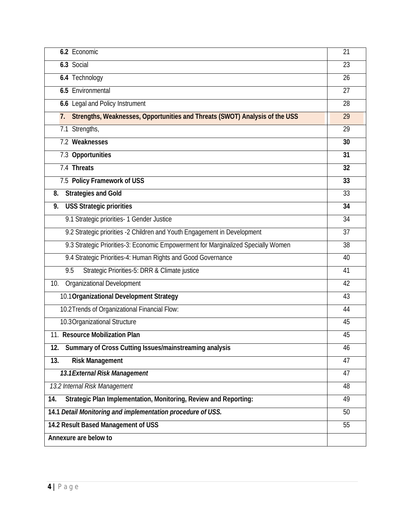| 6.2 Economic                                                                      | 21 |
|-----------------------------------------------------------------------------------|----|
| 6.3 Social                                                                        | 23 |
| 6.4 Technology                                                                    | 26 |
| <b>6.5 Environmental</b>                                                          | 27 |
| 6.6 Legal and Policy Instrument                                                   | 28 |
| Strengths, Weaknesses, Opportunities and Threats (SWOT) Analysis of the USS<br>7. | 29 |
| 7.1 Strengths,                                                                    | 29 |
| 7.2 Weaknesses                                                                    | 30 |
| 7.3 Opportunities                                                                 | 31 |
| 7.4 Threats                                                                       | 32 |
| 7.5 Policy Framework of USS                                                       | 33 |
| <b>Strategies and Gold</b><br>8.                                                  | 33 |
| <b>USS Strategic priorities</b><br>9.                                             | 34 |
| 9.1 Strategic priorities- 1 Gender Justice                                        | 34 |
| 9.2 Strategic priorities -2 Children and Youth Engagement in Development          | 37 |
| 9.3 Strategic Priorities-3: Economic Empowerment for Marginalized Specially Women | 38 |
| 9.4 Strategic Priorities-4: Human Rights and Good Governance                      | 40 |
| Strategic Priorities-5: DRR & Climate justice<br>9.5                              | 41 |
| <b>Organizational Development</b><br>10.                                          | 42 |
| 10.1 Organizational Development Strategy                                          | 43 |
| 10.2 Trends of Organizational Financial Flow:                                     | 44 |
| 10.3 Organizational Structure                                                     | 45 |
| 11. Resource Mobilization Plan                                                    | 45 |
| <b>Summary of Cross Cutting Issues/mainstreaming analysis</b><br>12.              | 46 |
| <b>Risk Management</b><br>13.                                                     | 47 |
| 13.1 External Risk Management                                                     | 47 |
| 13.2 Internal Risk Management                                                     | 48 |
| <b>Strategic Plan Implementation, Monitoring, Review and Reporting:</b><br>14.    | 49 |
| 14.1 Detail Monitoring and implementation procedure of USS.                       | 50 |
| 14.2 Result Based Management of USS                                               | 55 |
| Annexure are below to                                                             |    |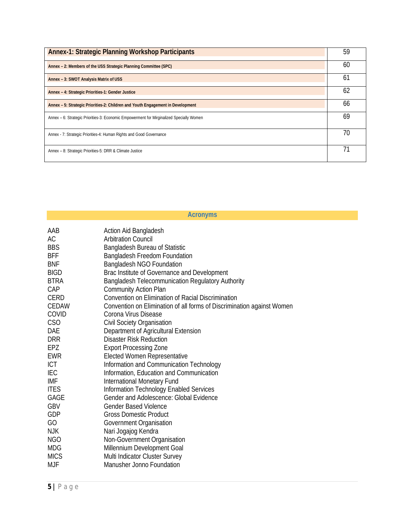| <b>Annex-1: Strategic Planning Workshop Participants</b>                                 | 59 |
|------------------------------------------------------------------------------------------|----|
| Annex - 2: Members of the USS Strategic Planning Committee (SPC)                         | 60 |
| Annex - 3: SWOT Analysis Matrix of USS                                                   | 61 |
| Annex - 4: Strategic Priorities-1: Gender Justice                                        | 62 |
| Annex - 5: Strategic Priorities-2: Children and Youth Engagement in Development          | 66 |
| Annex – 6: Strategic Priorities-3: Economic Empowerment for Mirginalized Specially Women | 69 |
| Annex - 7: Strategic Priorities-4: Human Rights and Good Governance                      | 70 |
| Annex - 8: Strategic Priorities-5: DRR & Climate Justice                                 | 71 |

|             | <b>Acronyms</b>                                                        |
|-------------|------------------------------------------------------------------------|
| AAB         | <b>Action Aid Bangladesh</b>                                           |
| <b>AC</b>   | <b>Arbitration Council</b>                                             |
| <b>BBS</b>  | <b>Bangladesh Bureau of Statistic</b>                                  |
| <b>BFF</b>  | Bangladesh Freedom Foundation                                          |
| <b>BNF</b>  | <b>Bangladesh NGO Foundation</b>                                       |
| <b>BIGD</b> | Brac Institute of Governance and Development                           |
| <b>BTRA</b> | <b>Bangladesh Telecommunication Regulatory Authority</b>               |
| CAP         | <b>Community Action Plan</b>                                           |
| <b>CERD</b> | <b>Convention on Elimination of Racial Discrimination</b>              |
| CEDAW       | Convention on Elimination of all forms of Discrimination against Women |
| COVID       | Corona Virus Disease                                                   |
| CSO         | Civil Society Organisation                                             |
| DAE         | Department of Agricultural Extension                                   |
| <b>DRR</b>  | <b>Disaster Risk Reduction</b>                                         |
| EPZ         | <b>Export Processing Zone</b>                                          |
| <b>EWR</b>  | <b>Elected Women Representative</b>                                    |
| <b>ICT</b>  | Information and Communication Technology                               |
| <b>IEC</b>  | Information, Education and Communication                               |
| <b>IMF</b>  | <b>International Monetary Fund</b>                                     |
| <b>ITES</b> | Information Technology Enabled Services                                |
| GAGE        | <b>Gender and Adolescence: Global Evidence</b>                         |
| <b>GBV</b>  | <b>Gender Based Violence</b>                                           |
| <b>GDP</b>  | <b>Gross Domestic Product</b>                                          |
| GO          | Government Organisation                                                |
| <b>NJK</b>  | Nari Jogajog Kendra                                                    |
| NGO         | Non-Government Organisation                                            |
| <b>MDG</b>  | Millennium Development Goal                                            |
| <b>MICS</b> | Multi Indicator Cluster Survey                                         |
| <b>MJF</b>  | <b>Manusher Jonno Foundation</b>                                       |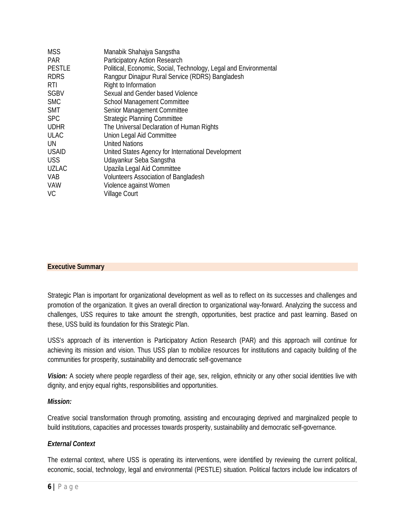| <b>MSS</b>    | Manabik Shahajya Sangstha                                        |
|---------------|------------------------------------------------------------------|
| <b>PAR</b>    | <b>Participatory Action Research</b>                             |
| <b>PESTLE</b> | Political, Economic, Social, Technology, Legal and Environmental |
| <b>RDRS</b>   | Rangpur Dinajpur Rural Service (RDRS) Bangladesh                 |
| RTI           | Right to Information                                             |
| <b>SGBV</b>   | Sexual and Gender based Violence                                 |
| <b>SMC</b>    | <b>School Management Committee</b>                               |
| <b>SMT</b>    | Senior Management Committee                                      |
| <b>SPC</b>    | <b>Strategic Planning Committee</b>                              |
| <b>UDHR</b>   | The Universal Declaration of Human Rights                        |
| <b>ULAC</b>   | Union Legal Aid Committee                                        |
| UN            | United Nations                                                   |
| <b>USAID</b>  | United States Agency for International Development               |
| <b>USS</b>    | Udayankur Seba Sangstha                                          |
| <b>UZLAC</b>  | Upazila Legal Aid Committee                                      |
| <b>VAB</b>    | <b>Volunteers Association of Bangladesh</b>                      |
| <b>VAW</b>    | Violence against Women                                           |
| VC            | <b>Village Court</b>                                             |

#### **Executive Summary**

Strategic Plan is important for organizational development as well as to reflect on its successes and challenges and promotion of the organization. It gives an overall direction to organizational way-forward. Analyzing the success and challenges, USS requires to take amount the strength, opportunities, best practice and past learning. Based on these, USS build its foundation for this Strategic Plan.

USS's approach of its intervention is Participatory Action Research (PAR) and this approach will continue for achieving its mission and vision. Thus USS plan to mobilize resources for institutions and capacity building of the communities for prosperity, sustainability and democratic self-governance

*Vision:* A society where people regardless of their age, sex, religion, ethnicity or any other social identities live with dignity, and enjoy equal rights, responsibilities and opportunities.

#### *Mission:*

Creative social transformation through promoting, assisting and encouraging deprived and marginalized people to build institutions, capacities and processes towards prosperity, sustainability and democratic self-governance.

#### *External Context*

The external context, where USS is operating its interventions, were identified by reviewing the current political, economic, social, technology, legal and environmental (PESTLE) situation. Political factors include low indicators of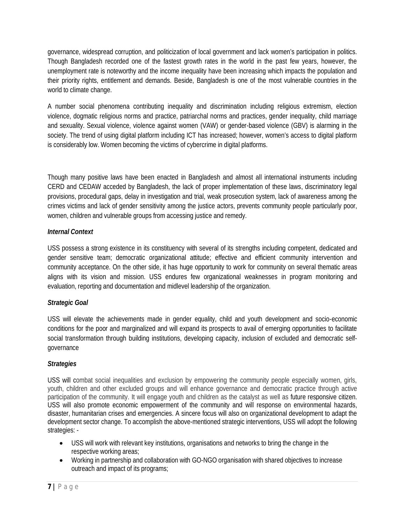governance, widespread corruption, and politicization of local government and lack women's participation in politics. Though Bangladesh recorded one of the fastest growth rates in the world in the past few years, however, the unemployment rate is noteworthy and the income inequality have been increasing which impacts the population and their priority rights, entitlement and demands. Beside, Bangladesh is one of the most vulnerable countries in the world to climate change.

A number social phenomena contributing inequality and discrimination including religious extremism, election violence, dogmatic religious norms and practice, patriarchal norms and practices, gender inequality, child marriage and sexuality. Sexual violence, violence against women (VAW) or gender-based violence (GBV) is alarming in the society. The trend of using digital platform including ICT has increased; however, women's access to digital platform is considerably low. Women becoming the victims of cybercrime in digital platforms.

Though many positive laws have been enacted in Bangladesh and almost all international instruments including CERD and CEDAW acceded by Bangladesh, the lack of proper implementation of these laws, discriminatory legal provisions, procedural gaps, delay in investigation and trial, weak prosecution system, lack of awareness among the crimes victims and lack of gender sensitivity among the justice actors, prevents community people particularly poor, women, children and vulnerable groups from accessing justice and remedy.

## *Internal Context*

USS possess a strong existence in its constituency with several of its strengths including competent, dedicated and gender sensitive team; democratic organizational attitude; effective and efficient community intervention and community acceptance. On the other side, it has huge opportunity to work for community on several thematic areas aligns with its vision and mission. USS endures few organizational weaknesses in program monitoring and evaluation, reporting and documentation and midlevel leadership of the organization.

# *Strategic Goal*

USS will elevate the achievements made in gender equality, child and youth development and socio-economic conditions for the poor and marginalized and will expand its prospects to avail of emerging opportunities to facilitate social transformation through building institutions, developing capacity, inclusion of excluded and democratic selfgovernance

# *Strategies*

USS will combat social inequalities and exclusion by empowering the community people especially women, girls, youth, children and other excluded groups and will enhance governance and democratic practice through active participation of the community. It will engage youth and children as the catalyst as well as future responsive citizen. USS will also promote economic empowerment of the community and will response on environmental hazards, disaster, humanitarian crises and emergencies. A sincere focus will also on organizational development to adapt the development sector change. To accomplish the above-mentioned strategic interventions, USS will adopt the following strategies: -

- USS will work with relevant key institutions, organisations and networks to bring the change in the respective working areas;
- Working in partnership and collaboration with GO-NGO organisation with shared objectives to increase outreach and impact of its programs;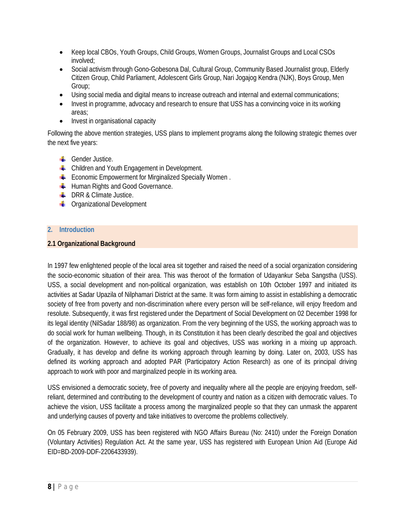- Keep local CBOs, Youth Groups, Child Groups, Women Groups, Journalist Groups and Local CSOs involved;
- Social activism through Gono-Gobesona Dal, Cultural Group, Community Based Journalist group, Elderly Citizen Group, Child Parliament, Adolescent Girls Group, Nari Jogajog Kendra (NJK), Boys Group, Men Group;
- Using social media and digital means to increase outreach and internal and external communications;
- Invest in programme, advocacy and research to ensure that USS has a convincing voice in its working areas;
- Invest in organisational capacity

Following the above mention strategies, USS plans to implement programs along the following strategic themes over the next five years:

- $\leftarrow$  Gender Justice.
- **EXECUTE:** Children and Youth Engagement in Development.
- $\blacksquare$  Economic Empowerment for Mirginalized Specially Women.
- **Human Rights and Good Governance.**
- **EXECUTE:** DRR & Climate Justice.
- **C** Organizational Development

## **2. Introduction**

## **2.1 Organizational Background**

In 1997 few enlightened people of the local area sit together and raised the need of a social organization considering the socio-economic situation of their area. This was theroot of the formation of Udayankur Seba Sangstha (USS). USS, a social development and non-political organization, was establish on 10th October 1997 and initiated its activities at Sadar Upazila of Nilphamari District at the same. It was form aiming to assist in establishing a democratic society of free from poverty and non-discrimination where every person will be self-reliance, will enjoy freedom and resolute. Subsequently, it was first registered under the Department of Social Development on 02 December 1998 for its legal identity (NilSadar 188/98) as organization. From the very beginning of the USS, the working approach was to do social work for human wellbeing. Though, in its Constitution it has been clearly described the goal and objectives of the organization. However, to achieve its goal and objectives, USS was working in a mixing up approach. Gradually, it has develop and define its working approach through learning by doing. Later on, 2003, USS has defined its working approach and adopted PAR (Participatory Action Research) as one of its principal driving approach to work with poor and marginalized people in its working area.

USS envisioned a democratic society, free of poverty and inequality where all the people are enjoying freedom, selfreliant, determined and contributing to the development of country and nation as a citizen with democratic values. To achieve the vision, USS facilitate a process among the marginalized people so that they can unmask the apparent and underlying causes of poverty and take initiatives to overcome the problems collectively.

On 05 February 2009, USS has been registered with NGO Affairs Bureau (No: 2410) under the Foreign Donation (Voluntary Activities) Regulation Act. At the same year, USS has registered with European Union Aid (Europe Aid EID=BD-2009-DDF-2206433939).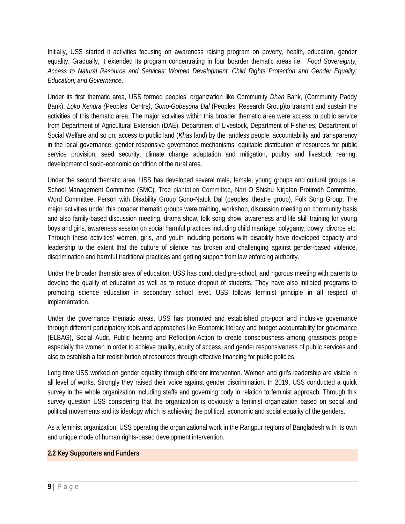Initially, USS started it activities focusing on awareness raising program on poverty, health, education, gender equality. Gradually, it extended its program concentrating in four boarder thematic areas i.e. *Food Sovereignty, Access to Natural Resource and Services; Women Development, Child Rights Protection and Gender Equality; Education; and Governance*.

Under its first thematic area, USS formed peoples' organization like Community *Dhan* Bank, (Community Paddy Bank), *Loko Kendra (*Peoples' Centre*)*, *Gono-Gobesona Dal* (Peoples' Research Group)to transmit and sustain the activities of this thematic area. The major activities within this broader thematic area were access to public service from Department of Agricultural Extension (DAE), Department of Livestock, Department of Fisheries, Department of Social Welfare and so on; access to public land (*Khas* land) by the landless people; accountability and transparency in the local governance; gender responsive governance mechanisms; equitable distribution of resources for public service provision; seed security; climate change adaptation and mitigation, poultry and livestock rearing; development of socio-economic condition of the rural area.

Under the second thematic area, USS has developed several male, female, young groups and cultural groups i.e. School Management Committee (SMC), Tree plantation Committee, Nari O Shishu Nirjatan Protirodh Committee, Word Committee, Person with Disability Group Gono-Natok Dal (peoples' theatre group), Folk Song Group. The major activities under this broader thematic groups were training, workshop, discussion meeting on community basis and also family-based discussion meeting, drama show, folk song show, awareness and life skill training for young boys and girls, awareness session on social harmful practices including child marriage, polygamy, dowry, divorce etc. Through these activities' women, girls, and youth including persons with disability have developed capacity and leadership to the extent that the culture of silence has broken and challenging against gender-based violence, discrimination and harmful traditional practices and getting support from law enforcing authority.

Under the broader thematic area of education, USS has conducted pre-school, and rigorous meeting with parents to develop the quality of education as well as to reduce dropout of students. They have also initiated programs to promoting science education in secondary school level. USS follows feminist principle in all respect of implementation.

Under the governance thematic areas, USS has promoted and established pro-poor and inclusive governance through different participatory tools and approaches like Economic literacy and budget accountability for governance (ELBAG), Social Audit, Public hearing and Reflection-Action to create consciousness among grassroots people especially the women in order to achieve quality, equity of access, and gender responsiveness of public services and also to establish a fair redistribution of resources through effective financing for public policies.

Long time USS worked on gender equality through different intervention. Women and girl's leadership are visible in all level of works. Strongly they raised their voice against gender discrimination. In 2019, USS conducted a quick survey in the whole organization including staffs and governing body in relation to feminist approach. Through this survey question USS considering that the organization is obviously a feminist organization based on social and political movements and its ideology which is achieving the political, economic and social equality of the genders.

As a feminist organization, USS operating the organizational work in the Rangpur regions of Bangladesh with its own and unique mode of human rights-based development intervention.

## **2.2 Key Supporters and Funders**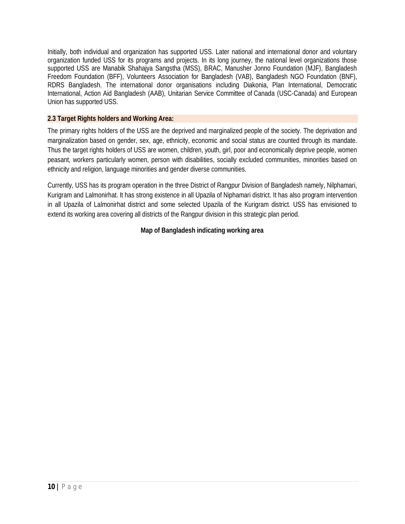Initially, both individual and organization has supported USS. Later national and international donor and voluntary organization funded USS for its programs and projects. In its long journey, the national level organizations those supported USS are Manabik Shahajya Sangstha (MSS), BRAC, Manusher Jonno Foundation (MJF), Bangladesh Freedom Foundation (BFF), Volunteers Association for Bangladesh (VAB), Bangladesh NGO Foundation (BNF), RDRS Bangladesh. The international donor organisations including Diakonia, Plan International, Democratic International, Action Aid Bangladesh (AAB), Unitarian Service Committee of Canada (USC-Canada) and European Union has supported USS.

## **2.3 Target Rights holders and Working Area:**

The primary rights holders of the USS are the deprived and marginalized people of the society. The deprivation and marginalization based on gender, sex, age, ethnicity, economic and social status are counted through its mandate. Thus the target rights holders of USS are women, children, youth, girl, poor and economically deprive people, women peasant, workers particularly women, person with disabilities, socially excluded communities, minorities based on ethnicity and religion, language minorities and gender diverse communities.

Currently, USS has its program operation in the three District of Rangpur Division of Bangladesh namely, Nilphamari, Kurigram and Lalmonirhat. It has strong existence in all Upazila of Niphamari district. It has also program intervention in all Upazila of Lalmonirhat district and some selected Upazila of the Kurigram district. USS has envisioned to extend its working area covering all districts of the Rangpur division in this strategic plan period.

## **Map of Bangladesh indicating working area**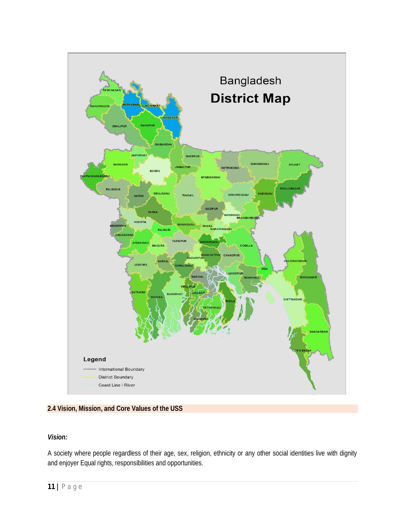

#### **2.4 Vision, Mission, and Core Values of the USS**

#### *Vision:*

A society where people regardless of their age, sex, religion, ethnicity or any other social identities live with dignity and enjoyer Equal rights, responsibilities and opportunities.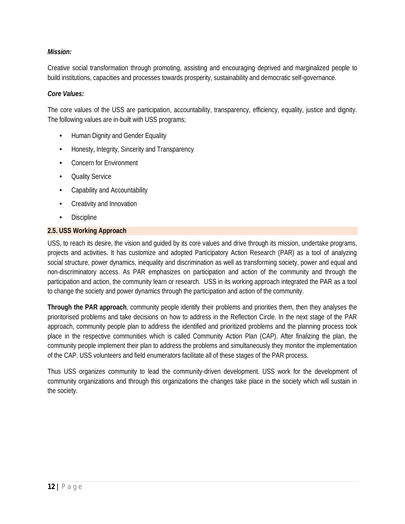## *Mission:*

Creative social transformation through promoting, assisting and encouraging deprived and marginalized people to build institutions, capacities and processes towards prosperity, sustainability and democratic self-governance.

#### *Core Values:*

The core values of the USS are participation, accountability, transparency, efficiency, equality, justice and dignity. The following values are in-built with USS programs;

- Human Dignity and Gender Equality
- Honesty, Integrity, Sincerity and Transparency
- Concern for Environment
- Quality Service
- Capability and Accountability
- Creativity and Innovation
- Discipline

#### **2.5. USS Working Approach**

USS, to reach its desire, the vision and guided by its core values and drive through its mission, undertake programs, projects and activities. It has customize and adopted Participatory Action Research (PAR) as a tool of analyzing social structure, power dynamics, inequality and discrimination as well as transforming society, power and equal and non-discriminatory access. As PAR emphasizes on participation and action of the community and through the participation and action, the community learn or research. USS in its working approach integrated the PAR as a tool to change the society and power dynamics through the participation and action of the community.

**Through the PAR approach**, community people identify their problems and priorities them, then they analyses the prioritorised problems and take decisions on how to address in the Reflection Circle. In the next stage of the PAR approach, community people plan to address the identified and prioritized problems and the planning process took place in the respective communities which is called Community Action Plan (CAP). After finalizing the plan, the community people implement their plan to address the problems and simultaneously they monitor the implementation of the CAP. USS volunteers and field enumerators facilitate all of these stages of the PAR process.

Thus USS organizes community to lead the community-driven development. USS work for the development of community organizations and through this organizations the changes take place in the society which will sustain in the society.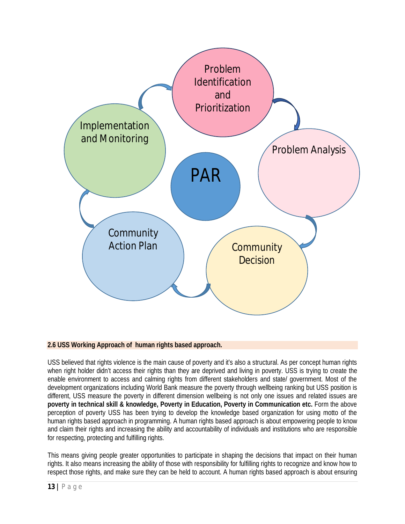

#### **2.6 USS Working Approach of human rights based approach.**

USS believed that rights violence is the main cause of poverty and it's also a structural. As per concept human rights when right holder didn't access their rights than they are deprived and living in poverty. USS is trying to create the enable environment to access and calming rights from different stakeholders and state/ government. Most of the development organizations including World Bank measure the poverty through wellbeing ranking but USS position is different, USS measure the poverty in different dimension wellbeing is not only one issues and related issues are **poverty in technical skill & knowledge, Poverty in Education, Poverty in Communication etc.** Form the above perception of poverty USS has been trying to develop the knowledge based organization for using motto of the human rights based approach in programming. A human rights based approach is about empowering people to know and claim their rights and increasing the ability and accountability of individuals and institutions who are responsible for respecting, protecting and fulfilling rights.

This means giving people greater opportunities to participate in shaping the decisions that impact on their human rights. It also means increasing the ability of those with responsibility for fulfilling rights to recognize and know how to respect those rights, and make sure they can be held to account. A human rights based approach is about ensuring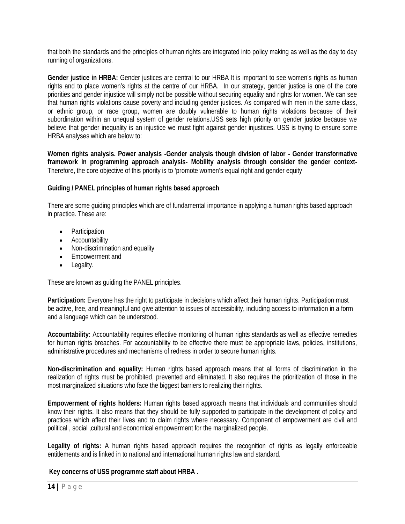that both the standards and the principles of human rights are integrated into policy making as well as the day to day running of organizations.

**Gender justice in HRBA:** Gender justices are central to our HRBA It is important to see women's rights as human rights and to place women's rights at the centre of our HRBA. In our strategy, gender justice is one of the core priorities and gender injustice will simply not be possible without securing equality and rights for women. We can see that human rights violations cause poverty and including gender justices. As compared with men in the same class, or ethnic group, or race group, women are doubly vulnerable to human rights violations because of their subordination within an unequal system of gender relations.USS sets high priority on gender justice because we believe that gender inequality is an injustice we must fight against gender injustices. USS is trying to ensure some HRBA analyses which are below to:

**Women rights analysis. Power analysis -Gender analysis though division of labor - Gender transformative framework in programming approach analysis- Mobility analysis through consider the gender context-**Therefore, the core objective of this priority is to 'promote women's equal right and gender equity

## **Guiding / PANEL principles of human rights based approach**

There are some guiding principles which are of fundamental importance in applying a human rights based approach in practice. These are:

- Participation
- **•** Accountability
- Non-discrimination and equality
- Empowerment and
- Legality.

These are known as guiding the PANEL principles.

**Participation:** Everyone has the right to participate in decisions which affect their human rights. Participation must be active, free, and meaningful and give attention to issues of accessibility, including access to information in a form and a language which can be understood.

**Accountability:** Accountability requires effective monitoring of human rights standards as well as effective remedies for human rights breaches. For accountability to be effective there must be appropriate laws, policies, institutions, administrative procedures and mechanisms of redress in order to secure human rights.

**Non-discrimination and equality:** Human rights based approach means that all forms of discrimination in the realization of rights must be prohibited, prevented and eliminated. It also requires the prioritization of those in the most marginalized situations who face the biggest barriers to realizing their rights.

**Empowerment of rights holders:** Human rights based approach means that individuals and communities should know their rights. It also means that they should be fully supported to participate in the development of policy and practices which affect their lives and to claim rights where necessary. Component of empowerment are civil and political , social ,cultural and economical empowerment for the marginalized people.

Legality of rights: A human rights based approach requires the recognition of rights as legally enforceable entitlements and is linked in to national and international human rights law and standard.

#### **Key concerns of USS programme staff about HRBA .**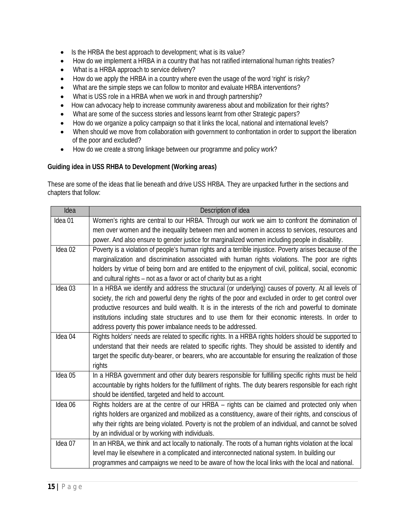- Is the HRBA the best approach to development; what is its value?
- How do we implement a HRBA in a country that has not ratified international human rights treaties?
- What is a HRBA approach to service delivery?
- How do we apply the HRBA in a country where even the usage of the word 'right' is risky?
- What are the simple steps we can follow to monitor and evaluate HRBA interventions?
- What is USS role in a HRBA when we work in and through partnership?
- How can advocacy help to increase community awareness about and mobilization for their rights?
- What are some of the success stories and lessons learnt from other Strategic papers?
- How do we organize a policy campaign so that it links the local, national and international levels?
- When should we move from collaboration with government to confrontation in order to support the liberation of the poor and excluded?
- How do we create a strong linkage between our programme and policy work?

#### **Guiding idea in USS RHBA to Development (Working areas)**

These are some of the ideas that lie beneath and drive USS HRBA. They are unpacked further in the sections and chapters that follow:

| Idea    | Description of idea                                                                                      |
|---------|----------------------------------------------------------------------------------------------------------|
| Idea 01 | Women's rights are central to our HRBA. Through our work we aim to confront the domination of            |
|         | men over women and the inequality between men and women in access to services, resources and             |
|         | power. And also ensure to gender justice for marginalized women including people in disability.          |
| Idea 02 | Poverty is a violation of people's human rights and a terrible injustice. Poverty arises because of the  |
|         | marginalization and discrimination associated with human rights violations. The poor are rights          |
|         | holders by virtue of being born and are entitled to the enjoyment of civil, political, social, economic  |
|         | and cultural rights - not as a favor or act of charity but as a right                                    |
| Idea 03 | In a HRBA we identify and address the structural (or underlying) causes of poverty. At all levels of     |
|         | society, the rich and powerful deny the rights of the poor and excluded in order to get control over     |
|         | productive resources and build wealth. It is in the interests of the rich and powerful to dominate       |
|         | institutions including state structures and to use them for their economic interests. In order to        |
|         | address poverty this power imbalance needs to be addressed.                                              |
| Idea 04 | Rights holders' needs are related to specific rights. In a HRBA rights holders should be supported to    |
|         | understand that their needs are related to specific rights. They should be assisted to identify and      |
|         | target the specific duty-bearer, or bearers, who are accountable for ensuring the realization of those   |
|         | rights                                                                                                   |
| Idea 05 | In a HRBA government and other duty bearers responsible for fulfilling specific rights must be held      |
|         | accountable by rights holders for the fulfillment of rights. The duty bearers responsible for each right |
|         | should be identified, targeted and held to account.                                                      |
| Idea 06 | Rights holders are at the centre of our HRBA - rights can be claimed and protected only when             |
|         | rights holders are organized and mobilized as a constituency, aware of their rights, and conscious of    |
|         | why their rights are being violated. Poverty is not the problem of an individual, and cannot be solved   |
|         | by an individual or by working with individuals.                                                         |
| Idea 07 | In an HRBA, we think and act locally to nationally. The roots of a human rights violation at the local   |
|         | level may lie elsewhere in a complicated and interconnected national system. In building our             |
|         | programmes and campaigns we need to be aware of how the local links with the local and national.         |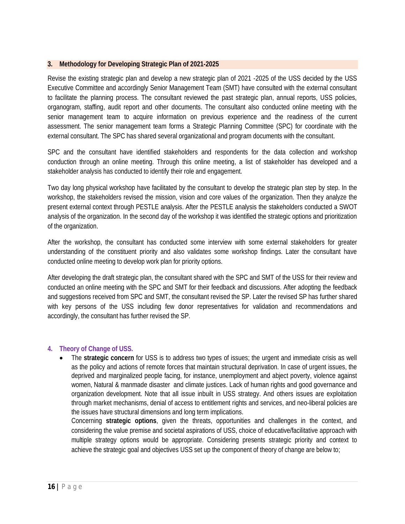#### **3. Methodology for Developing Strategic Plan of 2021-2025**

Revise the existing strategic plan and develop a new strategic plan of 2021 -2025 of the USS decided by the USS Executive Committee and accordingly Senior Management Team (SMT) have consulted with the external consultant to facilitate the planning process. The consultant reviewed the past strategic plan, annual reports, USS policies, organogram, staffing, audit report and other documents. The consultant also conducted online meeting with the senior management team to acquire information on previous experience and the readiness of the current assessment. The senior management team forms a Strategic Planning Committee (SPC) for coordinate with the external consultant. The SPC has shared several organizational and program documents with the consultant.

SPC and the consultant have identified stakeholders and respondents for the data collection and workshop conduction through an online meeting. Through this online meeting, a list of stakeholder has developed and a stakeholder analysis has conducted to identify their role and engagement.

Two day long physical workshop have facilitated by the consultant to develop the strategic plan step by step. In the workshop, the stakeholders revised the mission, vision and core values of the organization. Then they analyze the present external context through PESTLE analysis. After the PESTLE analysis the stakeholders conducted a SWOT analysis of the organization. In the second day of the workshop it was identified the strategic options and prioritization of the organization.

After the workshop, the consultant has conducted some interview with some external stakeholders for greater understanding of the constituent priority and also validates some workshop findings. Later the consultant have conducted online meeting to develop work plan for priority options.

After developing the draft strategic plan, the consultant shared with the SPC and SMT of the USS for their review and conducted an online meeting with the SPC and SMT for their feedback and discussions. After adopting the feedback and suggestions received from SPC and SMT, the consultant revised the SP. Later the revised SP has further shared with key persons of the USS including few donor representatives for validation and recommendations and accordingly, the consultant has further revised the SP.

#### **4. Theory of Change of USS.**

 The **strategic concern** for USS is to address two types of issues; the urgent and immediate crisis as well as the policy and actions of remote forces that maintain structural deprivation. In case of urgent issues, the deprived and marginalized people facing, for instance, unemployment and abject poverty, violence against women, Natural & manmade disaster and climate justices. Lack of human rights and good governance and organization development. Note that all issue inbuilt in USS strategy. And others issues are exploitation through market mechanisms, denial of access to entitlement rights and services, and neo-liberal policies are the issues have structural dimensions and long term implications.

Concerning **strategic options**, given the threats, opportunities and challenges in the context, and considering the value premise and societal aspirations of USS, choice of educative/facilitative approach with multiple strategy options would be appropriate. Considering presents strategic priority and context to achieve the strategic goal and objectives USS set up the component of theory of change are below to;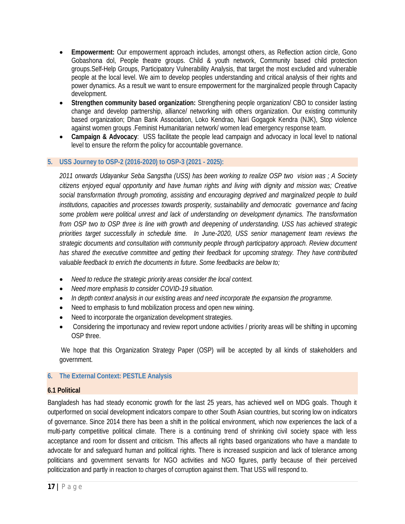- **Empowerment:** Our empowerment approach includes, amongst others, as Reflection action circle, Gono Gobashona dol, People theatre groups. Child & youth network, Community based child protection groups.Self-Help Groups, Participatory Vulnerability Analysis, that target the most excluded and vulnerable people at the local level. We aim to develop peoples understanding and critical analysis of their rights and power dynamics. As a result we want to ensure empowerment for the marginalized people through Capacity development.
- **Strengthen community based organization:** Strengthening people organization/ CBO to consider lasting change and develop partnership, alliance/ networking with others organization. Our existing community based organization; Dhan Bank Association, Loko Kendrao, Nari Gogagok Kendra (NJK), Stop violence against women groups .Feminist Humanitarian network/ women lead emergency response team.
- **Campaign & Advocacy**: USS facilitate the people lead campaign and advocacy in local level to national level to ensure the reform the policy for accountable governance.

#### **5. USS Journey to OSP-2 (2016-2020) to OSP-3 (2021 - 2025):**

*2011 onwards Udayankur Seba Sangstha (USS) has been working to realize OSP two vision was ; A Society citizens enjoyed equal opportunity and have human rights and living with dignity and mission was; Creative social transformation through promoting, assisting and encouraging deprived and marginalized people to build institutions, capacities and processes towards prosperity, sustainability and democratic governance and facing some problem were political unrest and lack of understanding on development dynamics. The transformation from OSP two to OSP three is line with growth and deepening of understanding. USS has achieved strategic priorities target successfully in schedule time. In June-2020, USS senior management team reviews the strategic documents and consultation with community people through participatory approach. Review document has shared the executive committee and getting their feedback for upcoming strategy. They have contributed valuable feedback to enrich the documents in future. Some feedbacks are below to;*

- *Need to reduce the strategic priority areas consider the local context.*
- *Need more emphasis to consider COVID-19 situation.*
- *In depth context analysis in our existing areas and need incorporate the expansion the programme.*
- Need to emphasis to fund mobilization process and open new wining.
- Need to incorporate the organization development strategies.
- Considering the importunacy and review report undone activities / priority areas will be shifting in upcoming OSP three.

We hope that this Organization Strategy Paper (OSP) will be accepted by all kinds of stakeholders and government.

#### **6. The External Context: PESTLE Analysis**

#### **6.1 Political**

Bangladesh has had steady economic growth for the last 25 years, has achieved well on MDG goals. Though it outperformed on social development indicators compare to other South Asian countries, but scoring low on indicators of governance. Since 2014 there has been a shift in the political environment, which now experiences the lack of a multi-party competitive political climate. There is a continuing trend of shrinking civil society space with less acceptance and room for dissent and criticism. This affects all rights based organizations who have a mandate to advocate for and safeguard human and political rights. There is increased suspicion and lack of tolerance among politicians and government servants for NGO activities and NGO figures, partly because of their perceived politicization and partly in reaction to charges of corruption against them. That USS will respond to.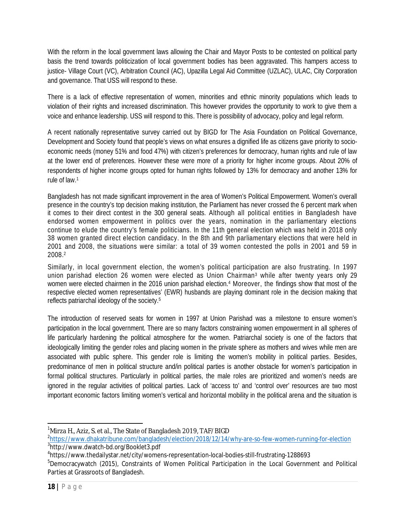With the reform in the local government laws allowing the Chair and Mayor Posts to be contested on political party basis the trend towards politicization of local government bodies has been aggravated. This hampers access to justice- Village Court (VC), Arbitration Council (AC), Upazilla Legal Aid Committee (UZLAC), ULAC, City Corporation and governance. That USS will respond to these.

There is a lack of effective representation of women, minorities and ethnic minority populations which leads to violation of their rights and increased discrimination. This however provides the opportunity to work to give them a voice and enhance leadership. USS will respond to this. There is possibility of advocacy, policy and legal reform.

A recent nationally representative survey carried out by BIGD for The Asia Foundation on Political Governance, Development and Society found that people's views on what ensures a dignified life as citizens gave priority to socioeconomic needs (money 51% and food 47%) with citizen's preferences for democracy, human rights and rule of law at the lower end of preferences. However these were more of a priority for higher income groups. About 20% of respondents of higher income groups opted for human rights followed by 13% for democracy and another 13% for rule of law.<sup>1</sup>

Bangladesh has not made significant improvement in the area of Women's Political Empowerment. Women's overall presence in the country's top decision making institution, the Parliament has never crossed the 6 percent mark when it comes to their direct contest in the 300 general seats. Although all political entities in Bangladesh have endorsed women empowerment in politics over the years, nomination in the parliamentary elections continue to elude the country's female politicians. In the 11th general election which was held in 2018 only 38 women granted direct election candidacy. In the 8th and 9th parliamentary elections that were held in 2001 and 2008, the situations were similar: a total of 39 women contested the polls in 2001 and 59 in 2008.<sup>2</sup>

Similarly, in local government election, the women's political participation are also frustrating. In 1997 union parishad election 26 women were elected as Union Chairman<sup>3</sup> while after twenty years only 29 women were elected chairmen in the 2016 union parishad election.<sup>4</sup> Moreover, the findings show that most of the respective elected women representatives' (EWR) husbands are playing dominant role in the decision making that reflects patriarchal ideology of the society. 5

The introduction of reserved seats for women in 1997 at Union Parishad was a milestone to ensure women's participation in the local government. There are so many factors constraining women empowerment in all spheres of life particularly hardening the political atmosphere for the women. Patriarchal society is one of the factors that ideologically limiting the gender roles and placing women in the private sphere as mothers and wives while men are associated with public sphere. This gender role is limiting the women's mobility in political parties. Besides, predominance of men in political structure and/in political parties is another obstacle for women's participation in formal political structures. Particularly in political parties, the male roles are prioritized and women's needs are ignored in the regular activities of political parties. Lack of 'access to' and 'control over' resources are two most important economic factors limiting women's vertical and horizontal mobility in the political arena and the situation is

2 <https://www.dhakatribune.com/bangladesh/election/2018/12/14/why-are-so-few-women-running-for-election> 3 <http://www.dwatch-bd.org/Booklet3.pdf>

 $\overline{\phantom{a}}$ <sup>1</sup>Mirza H., Aziz, S. et al., The State of Bangladesh 2019, TAF/BIGD

<sup>4</sup> <https://www.thedailystar.net/city/womens-representation-local-bodies-still-frustrating-1288693>

<sup>&</sup>lt;sup>5</sup>Democracywatch (2015), Constraints of Women Political Participation in the Local Government and Political Parties at Grassroots of Bangladesh.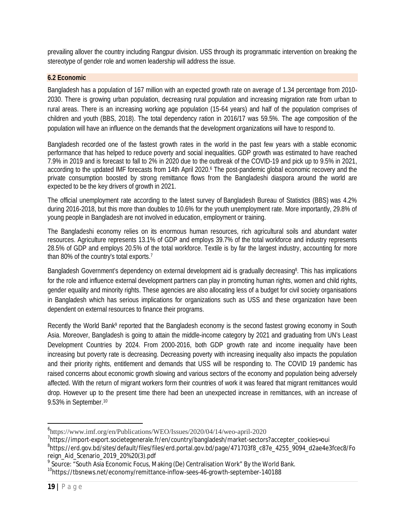prevailing allover the country including Rangpur division. USS through its programmatic intervention on breaking the stereotype of gender role and women leadership will address the issue.

## **6.2 Economic**

Bangladesh has a population of 167 million with an expected growth rate on average of 1.34 percentage from 2010- 2030. There is growing urban population, decreasing rural population and increasing migration rate from urban to rural areas. There is an increasing working age population (15-64 years) and half of the population comprises of children and youth (BBS, 2018). The total dependency ration in 2016/17 was 59.5%. The age composition of the population will have an influence on the demands that the development organizations will have to respond to.

Bangladesh recorded one of the fastest growth rates in the world in the past few years with a stable economic performance that has helped to reduce poverty and social inequalities. GDP growth was estimated to have reached 7.9% in 2019 and is forecast to fall to 2% in 2020 due to the outbreak of the COVID-19 and pick up to 9.5% in 2021, according to the updated IMF forecasts from 14th April 2020.<sup>6</sup> The post-pandemic global economic recovery and the private consumption boosted by strong remittance flows from the Bangladeshi diaspora around the world are expected to be the key drivers of growth in 2021.

The official unemployment rate according to the latest survey of Bangladesh Bureau of Statistics (BBS) was 4.2% during 2016-2018, but this more than doubles to 10.6% for the youth unemployment rate. More importantly, 29.8% of young people in Bangladesh are not involved in education, employment or training.

The Bangladeshi economy relies on its enormous human resources, rich agricultural soils and abundant water resources. Agriculture represents 13.1% of GDP and employs 39.7% of the total workforce and industry represents 28.5% of GDP and employs 20.5% of the total workforce. Textile is by far the largest industry, accounting for more than 80% of the country's total exports.<sup>7</sup>

Bangladesh Government's dependency on external development aid is gradually decreasing<sup>8</sup>. This has implications for the role and influence external development partners can play in promoting human rights, women and child rights, gender equality and minority rights. These agencies are also allocating less of a budget for civil society organisations in Bangladesh which has serious implications for organizations such as USS and these organization have been dependent on external resources to finance their programs.

Recently the World Bank<sup>9</sup> reported that the Bangladesh economy is the second fastest growing economy in South Asia. Moreover, Bangladesh is going to attain the middle-income category by 2021 and graduating from UN's Least Development Countries by 2024. From 2000-2016, both GDP growth rate and income inequality have been increasing but poverty rate is decreasing. Decreasing poverty with increasing inequality also impacts the population and their priority rights, entitlement and demands that USS will be responding to. The COVID 19 pandemic has raised concerns about economic growth slowing and various sectors of the economy and population being adversely affected. With the return of migrant workers form their countries of work it was feared that migrant remittances would drop. However up to the present time there had been an unexpected increase in remittances, with an increase of 9.53% in September.<sup>10</sup>

 $\overline{\phantom{a}}$ 

<sup>6</sup> <https://www.imf.org/en/Publications/WEO/Issues/2020/04/14/weo-april-2020>

<sup>7</sup> [https://import-export.societegenerale.fr/en/country/bangladesh/market-sectors?accepter\\_cookies=oui](https://import-export.societegenerale.fr/en/country/bangladesh/market-sectors?accepter_cookies=oui)

<sup>8</sup> [https://erd.gov.bd/sites/default/files/files/erd.portal.gov.bd/page/471703f8\\_c87e\\_4255\\_9094\\_d2ae4e3fcec8/Fo](https://erd.gov.bd/sites/default/files/files/erd.portal.gov.bd/page/471703f8_c87e_4255_9094_d2ae4e3fcec8/Fo) reign\_Aid\_Scenario\_2019\_20%20(3).pdf

 $^9$  Source: "South Asia Economic Focus, Making (De) Centralisation Work" By the World Bank.

<sup>&</sup>lt;sup>10</sup><https://tbsnews.net/economy/remittance-inflow-sees-46-growth-september-140188>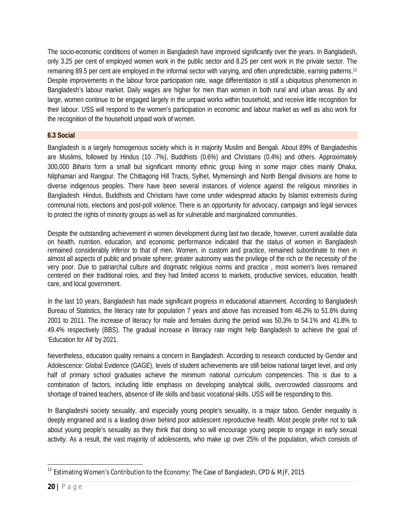The socio-economic conditions of women in Bangladesh have improved significantly over the years. In Bangladesh, only 3.25 per cent of employed women work in the public sector and 8.25 per cent work in the private sector. The remaining 89.5 per cent are employed in the informal sector with varying, and often unpredictable, earning patterns.<sup>11</sup> Despite improvements in the labour force participation rate, wage differentiation is still a ubiquitous phenomenon in Bangladesh's labour market. Daily wages are higher for men than women in both rural and urban areas. By and large, women continue to be engaged largely in the unpaid works within household, and receive little recognition for their labour. USS will respond to the women's participation in economic and labour market as well as also work for the recognition of the household unpaid work of women.

## **6.3 Social**

Bangladesh is a largely homogenous society which is in majority Muslim and Bengali. About 89% of Bangladeshis are Muslims, followed by Hindus (10 .7%), Buddhists (0.6%) and Christians (0.4%) and others. Approximately 300,000 *Biharis* form a small but significant minority ethnic group living in some major cities mainly Dhaka, Nilphamari and Rangpur. The Chittagong Hill Tracts, Sylhet, Mymensingh and North Bengal divisions are home to diverse indigenous peoples. There have been several instances of violence against the religious minorities in Bangladesh. Hindus, Buddhists and Christians have come under widespread attacks by Islamist extremists during communal riots, elections and post-poll violence. There is an opportunity for advocacy, campaign and legal services to protect the rights of minority groups as well as for vulnerable and marginalized communities.

Despite the outstanding achievement in women development during last two decade, however, current available data on health, nutrition, education, and economic performance indicated that the status of women in Bangladesh remained considerably inferior to that of men. Women, in custom and practice, remained subordinate to men in almost all aspects of public and private sphere; greater autonomy was the privilege of the rich or the necessity of the very poor. Due to patriarchal culture and dogmatic religious norms and practice , most women's lives remained centered on their traditional roles, and they had limited access to markets, productive services, education, health care, and local government.

In the last 10 years, Bangladesh has made significant progress in educational attainment. According to Bangladesh Bureau of Statistics, the literacy rate for population 7 years and above has increased from 46.2% to 51.8% during 2001 to 2011. The increase of literacy for male and females during the period was 50.3% to 54.1% and 41.8% to 49.4% respectively (BBS). The gradual increase in literacy rate might help Bangladesh to achieve the goal of 'Education for All' by 2021.

Nevertheless, education quality remains a concern in Bangladesh. According to research conducted by Gender and Adolescence: Global Evidence (GAGE), levels of student achievements are still below national target level, and only half of primary school graduates achieve the minimum national curriculum competencies. This is due to a combination of factors, including little emphasis on developing analytical skills, overcrowded classrooms and shortage of trained teachers, absence of life skills and basic vocational skills. USS will be responding to this.

In Bangladeshi society sexuality, and especially young people's sexuality, is a major taboo. Gender inequality is deeply engrained and is a leading driver behind poor adolescent reproductive health. Most people prefer not to talk about young people's sexuality as they think that doing so will encourage young people to engage in early sexual activity. As a result, the vast majority of adolescents, who make up over 25% of the population, which consists of

 $\overline{a}$ <sup>11</sup> Estimating Women's Contribution to the Economy: The Case of Bangladesh, CPD & MJF, 2015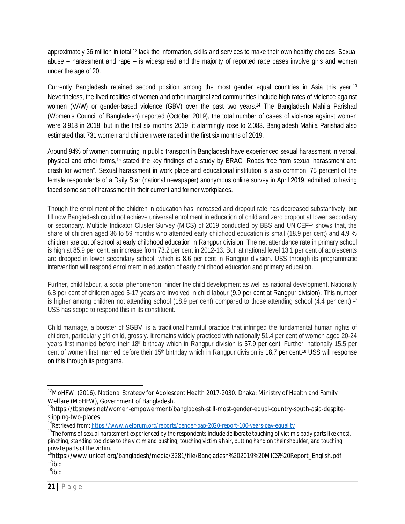approximately 36 million in total,<sup>12</sup> lack the information, skills and services to make their own healthy choices. Sexual abuse – harassment and rape – is widespread and the majority of reported rape cases involve girls and women under the age of 20.

Currently Bangladesh retained second position among the most gender equal countries in Asia this year.<sup>13</sup> Nevertheless, the lived realities of women and other marginalized communities include high rates of violence against women (VAW) or gender-based violence (GBV) over the past two years.<sup>14</sup> The Bangladesh Mahila Parishad (Women's Council of Bangladesh) reported (October 2019), the total number of cases of violence against women were 3,918 in 2018, but in the first six months 2019, it alarmingly rose to 2,083. Bangladesh Mahila Parishad also estimated that 731 women and children were raped in the first six months of 2019.

Around 94% of women commuting in public transport in Bangladesh have experienced sexual harassment in verbal, physical and other forms,<sup>15</sup> stated the key findings of a study by BRAC "Roads free from sexual harassment and crash for women". Sexual harassment in work place and educational institution is also common: 75 percent of the female respondents of a Daily Star (national newspaper) anonymous online survey in April 2019, admitted to having faced some sort of harassment in their current and former workplaces.

Though the enrollment of the children in education has increased and dropout rate has decreased substantively, but till now Bangladesh could not achieve universal enrollment in education of child and zero dropout at lower secondary or secondary. Multiple Indicator Cluster Survey (MICS) of 2019 conducted by BBS and UNICEF<sup>16</sup> shows that, the share of children aged 36 to 59 months who attended early childhood education is small (18.9 per cent) and 4.9 % children are out of school at early childhood education in Rangpur division. The net attendance rate in primary school is high at 85.9 per cent, an increase from 73.2 per cent in 2012-13. But, at national level 13.1 per cent of adolescents are dropped in lower secondary school, which is 8.6 per cent in Rangpur division. USS through its programmatic intervention will respond enrollment in education of early childhood education and primary education.

Further, child labour, a social phenomenon, hinder the child development as well as national development. Nationally 6.8 per cent of children aged 5-17 years are involved in child labour (9.9 per cent at Rangpur division). This number is higher among children not attending school (18.9 per cent) compared to those attending school (4.4 per cent).<sup>17</sup> USS has scope to respond this in its constituent.

Child marriage, a booster of SGBV, is a traditional harmful practice that infringed the fundamental human rights of children, particularly girl child, grossly. It remains widely practiced with nationally 51.4 per cent of women aged 20-24 years first married before their 18th birthday which in Rangpur division is 57.9 per cent. Further, nationally 15.5 per cent of women first married before their 15<sup>th</sup> birthday which in Rangpur division is 18.7 per cent.<sup>18</sup> USS will response on this through its programs.

 $\overline{\phantom{a}}$ <sup>12</sup>MoHFW. (2016). National Strategy for Adolescent Health 2017-2030. Dhaka: Ministry of Health and Family Welfare (MoHFW), Government of Bangladesh.

<sup>13</sup>[https://tbsnews.net/women-empowerment/bangladesh-still-most-gender-equal-country-south-asia-despite](https://tbsnews.net/women-empowerment/bangladesh-still-most-gender-equal-country-south-asia-despite-)slipping-two-places

<sup>&</sup>lt;sup>14</sup>Retrieved from:<https://www.weforum.org/reports/gender-gap-2020-report-100-years-pay-equality>

<sup>15</sup>*The forms of sexual harassment experienced by the respondents include deliberate touching of victim's body parts like chest, pinching, standing too close to the victim and pushing, touching victim's hair, putting hand on their shoulder, and touching private parts of the victim.*

<sup>&</sup>lt;sup>16</sup>[https://www.unicef.org/bangladesh/media/3281/file/Bangladesh%202019%20MICS%20Report\\_English.pdf](https://www.unicef.org/bangladesh/media/3281/file/Bangladesh%202019%20MICS%20Report_English.pdf) <sup>17</sup>*ibid*

<sup>18</sup>*ibid*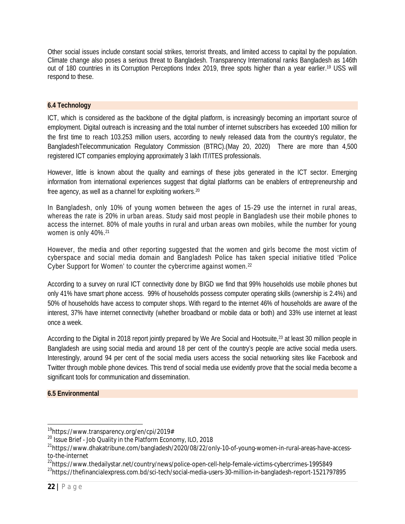Other social issues include constant social strikes, terrorist threats, and limited access to capital by the population. Climate change also poses a serious threat to Bangladesh. Transparency International ranks Bangladesh as 146th out of 180 countries in its Corruption Perceptions Index 2019, three spots higher than a year earlier.<sup>19</sup> USS will respond to these.

## **6.4 Technology**

ICT, which is considered as the backbone of the digital platform, is increasingly becoming an important source of employment. Digital outreach is increasing and the total number of internet subscribers has exceeded 100 million for the first time to reach 103.253 million users, according to newly released data from the country's regulator, the BangladeshTelecommunication Regulatory Commission (BTRC).(May 20, 2020) There are more than 4,500 registered ICT companies employing approximately 3 lakh IT/ITES professionals.

However, little is known about the quality and earnings of these jobs generated in the ICT sector. Emerging information from international experiences suggest that digital platforms can be enablers of entrepreneurship and free agency, as well as a channel for exploiting workers.<sup>20</sup>

In Bangladesh, only 10% of young women between the ages of 15-29 use the internet in rural areas, whereas the rate is 20% in urban areas. Study said most people in Bangladesh use their mobile phones to access the internet. 80% of male youths in rural and urban areas own mobiles, while the number for young women is only 40%.<sup>21</sup>

However, the media and other reporting suggested that the women and girls become the most victim of cyberspace and social media domain and Bangladesh Police has taken special initiative titled 'Police Cyber Support for Women' to counter the cybercrime against women.<sup>22</sup>

According to a survey on rural ICT connectivity done by BIGD we find that 99% households use mobile phones but only 41% have smart phone access. 99% of households possess computer operating skills (ownership is 2.4%) and 50% of households have access to computer shops. With regard to the internet 46% of households are aware of the interest, 37% have internet connectivity (whether broadband or mobile data or both) and 33% use internet at least once a week.

According to the Digital in 2018 report jointly prepared by We Are Social and Hootsuite,<sup>23</sup> at least 30 million people in Bangladesh are using social media and around 18 per cent of the country's people are active social media users. Interestingly, around 94 per cent of the social media users access the social networking sites like Facebook and Twitter through mobile phone devices. This trend of social media use evidently prove that the social media become a significant tools for communication and dissemination.

#### **6.5 Environmental**

 $\overline{\phantom{a}}$ 

<sup>&</sup>lt;sup>19</sup><https://www.transparency.org/en/cpi/2019#>

<sup>&</sup>lt;sup>20</sup> Issue Brief - Job Quality in the Platform Economy, ILO, 2018

<sup>21</sup>[https://www.dhakatribune.com/bangladesh/2020/08/22/only-10-of-young-women-in-rural-areas-have-access](https://www.dhakatribune.com/bangladesh/2020/08/22/only-10-of-young-women-in-rural-areas-have-access-)to-the-internet

<sup>&</sup>lt;sup>22</sup><https://www.thedailystar.net/country/news/police-open-cell-help-female-victims-cybercrimes-1995849>

<sup>&</sup>lt;sup>23</sup><https://thefinancialexpress.com.bd/sci-tech/social-media-users-30-million-in-bangladesh-report-1521797895>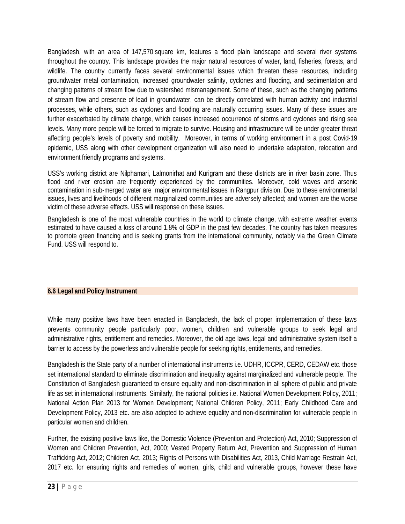Bangladesh, with an area of 147,570 square km, features a flood plain landscape and several river systems throughout the country. This landscape provides the major natural resources of water, land, fisheries, forests, and wildlife. The country currently faces several environmental issues which threaten these resources, including groundwater metal contamination, increased groundwater salinity, cyclones and flooding, and sedimentation and changing patterns of stream flow due to watershed mismanagement. Some of these, such as the changing patterns of stream flow and presence of lead in groundwater, can be directly correlated with human activity and industrial processes, while others, such as cyclones and flooding are naturally occurring issues. Many of these issues are further exacerbated by climate change, which causes increased occurrence of storms and cyclones and rising sea levels. Many more people will be forced to migrate to survive. Housing and infrastructure will be under greater threat affecting people's levels of poverty and mobility. Moreover, in terms of working environment in a post Covid-19 epidemic, USS along with other development organization will also need to undertake adaptation, relocation and environment friendly programs and systems.

USS's working district are Nilphamari, Lalmonirhat and Kurigram and these districts are in river basin zone. Thus flood and river erosion are frequently experienced by the communities. Moreover, cold waves and arsenic contamination in sub-merged water are major environmental issues in Rangpur division. Due to these environmental issues, lives and livelihoods of different marginalized communities are adversely affected; and women are the worse victim of these adverse effects. USS will response on these issues.

Bangladesh is one of the most vulnerable countries in the world to climate change, with extreme weather events estimated to have caused a loss of around 1.8% of GDP in the past few decades. The country has taken measures to promote green financing and is seeking grants from the international community, notably via the Green Climate Fund. USS will respond to.

## **6.6 Legal and Policy Instrument**

While many positive laws have been enacted in Bangladesh, the lack of proper implementation of these laws prevents community people particularly poor, women, children and vulnerable groups to seek legal and administrative rights, entitlement and remedies. Moreover, the old age laws, legal and administrative system itself a barrier to access by the powerless and vulnerable people for seeking rights, entitlements, and remedies.

Bangladesh is the State party of a number of international instruments i.e. UDHR, ICCPR, CERD, CEDAW etc. those set international standard to eliminate discrimination and inequality against marginalized and vulnerable people. The Constitution of Bangladesh guaranteed to ensure equality and non-discrimination in all sphere of public and private life as set in international instruments. Similarly, the national policies i.e. National Women Development Policy, 2011; National Action Plan 2013 for Women Development; National Children Policy, 2011; Early Childhood Care and Development Policy, 2013 etc. are also adopted to achieve equality and non-discrimination for vulnerable people in particular women and children.

Further, the existing positive laws like, the Domestic Violence (Prevention and Protection) Act, 2010; Suppression of Women and Children Prevention, Act, 2000; Vested Property Return Act, Prevention and Suppression of Human Trafficking Act, 2012; Children Act, 2013; Rights of Persons with Disabilities Act, 2013, Child Marriage Restrain Act, 2017 etc. for ensuring rights and remedies of women, girls, child and vulnerable groups, however these have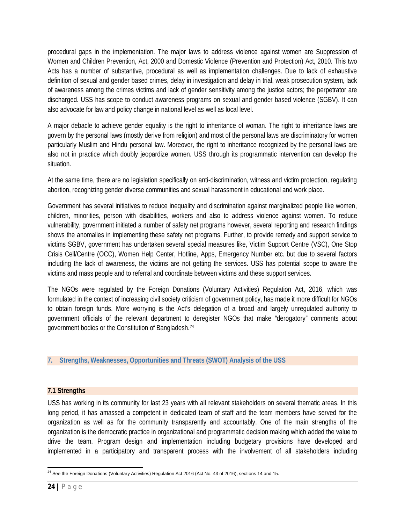procedural gaps in the implementation. The major laws to address violence against women are Suppression of Women and Children Prevention, Act, 2000 and Domestic Violence (Prevention and Protection) Act, 2010. This two Acts has a number of substantive, procedural as well as implementation challenges. Due to lack of exhaustive definition of sexual and gender based crimes, delay in investigation and delay in trial, weak prosecution system, lack of awareness among the crimes victims and lack of gender sensitivity among the justice actors; the perpetrator are discharged. USS has scope to conduct awareness programs on sexual and gender based violence (SGBV). It can also advocate for law and policy change in national level as well as local level.

A major debacle to achieve gender equality is the right to inheritance of woman. The right to inheritance laws are govern by the personal laws (mostly derive from religion) and most of the personal laws are discriminatory for women particularly Muslim and Hindu personal law. Moreover, the right to inheritance recognized by the personal laws are also not in practice which doubly jeopardize women. USS through its programmatic intervention can develop the situation.

At the same time, there are no legislation specifically on anti-discrimination, witness and victim protection, regulating abortion, recognizing gender diverse communities and sexual harassment in educational and work place.

Government has several initiatives to reduce inequality and discrimination against marginalized people like women, children, minorities, person with disabilities, workers and also to address violence against women. To reduce vulnerability, government initiated a number of safety net programs however, several reporting and research findings shows the anomalies in implementing these safety net programs. Further, to provide remedy and support service to victims SGBV, government has undertaken several special measures like, Victim Support Centre (VSC), One Stop Crisis Cell/Centre (OCC), Women Help Center, Hotline, Apps, Emergency Number etc. but due to several factors including the lack of awareness, the victims are not getting the services. USS has potential scope to aware the victims and mass people and to referral and coordinate between victims and these support services.

The NGOs were regulated by the Foreign Donations (Voluntary Activities) Regulation Act, 2016, which was formulated in the context of increasing civil society criticism of government policy, has made it more difficult for NGOs to obtain foreign funds. More worrying is the Act's delegation of a broad and largely unregulated authority to government officials of the relevant department to deregister NGOs that make "derogatory" comments about government bodies or the Constitution of Bangladesh.<sup>24</sup>

#### **7. Strengths, Weaknesses, Opportunities and Threats (SWOT) Analysis of the USS**

#### **7.1 Strengths**

USS has working in its community for last 23 years with all relevant stakeholders on several thematic areas. In this long period, it has amassed a competent in dedicated team of staff and the team members have served for the organization as well as for the community transparently and accountably. One of the main strengths of the organization is the democratic practice in organizational and programmatic decision making which added the value to drive the team. Program design and implementation including budgetary provisions have developed and implemented in a participatory and transparent process with the involvement of all stakeholders including

 $\overline{\phantom{a}}$  $^{24}$  See the Foreign Donations (Voluntary Activities) Regulation Act 2016 (Act No. 43 of 2016), sections 14 and 15.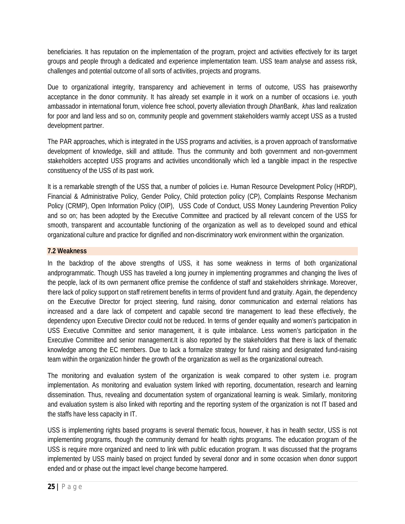beneficiaries. It has reputation on the implementation of the program, project and activities effectively for its target groups and people through a dedicated and experience implementation team. USS team analyse and assess risk, challenges and potential outcome of all sorts of activities, projects and programs.

Due to organizational integrity, transparency and achievement in terms of outcome, USS has praiseworthy acceptance in the donor community. It has already set example in it work on a number of occasions i.e. youth ambassador in international forum, violence free school, poverty alleviation through *Dhan*Bank, *khas* land realization for poor and land less and so on, community people and government stakeholders warmly accept USS as a trusted development partner.

The PAR approaches, which is integrated in the USS programs and activities, is a proven approach of transformative development of knowledge, skill and attitude. Thus the community and both government and non-government stakeholders accepted USS programs and activities unconditionally which led a tangible impact in the respective constituency of the USS of its past work.

It is a remarkable strength of the USS that, a number of policies i.e. Human Resource Development Policy (HRDP), Financial & Administrative Policy, Gender Policy, Child protection policy (CP), Complaints Response Mechanism Policy (CRMP), Open Information Policy (OIP), USS Code of Conduct, USS Money Laundering Prevention Policy and so on; has been adopted by the Executive Committee and practiced by all relevant concern of the USS for smooth, transparent and accountable functioning of the organization as well as to developed sound and ethical organizational culture and practice for dignified and non-discriminatory work environment within the organization.

## **7.2 Weakness**

In the backdrop of the above strengths of USS, it has some weakness in terms of both organizational andprogrammatic. Though USS has traveled a long journey in implementing programmes and changing the lives of the people, lack of its own permanent office premise the confidence of staff and stakeholders shrinkage. Moreover, there lack of policy support on staff retirement benefits in terms of provident fund and gratuity. Again, the dependency on the Executive Director for project steering, fund raising, donor communication and external relations has increased and a dare lack of competent and capable second tire management to lead these effectively, the dependency upon Executive Director could not be reduced. In terms of gender equality and women's participation in USS Executive Committee and senior management, it is quite imbalance. Less women's participation in the Executive Committee and senior management.It is also reported by the stakeholders that there is lack of thematic knowledge among the EC members. Due to lack a formalize strategy for fund raising and designated fund-raising team within the organization hinder the growth of the organization as well as the organizational outreach.

The monitoring and evaluation system of the organization is weak compared to other system i.e. program implementation. As monitoring and evaluation system linked with reporting, documentation, research and learning dissemination. Thus, revealing and documentation system of organizational learning is weak. Similarly, monitoring and evaluation system is also linked with reporting and the reporting system of the organization is not IT based and the staffs have less capacity in IT.

USS is implementing rights based programs is several thematic focus, however, it has in health sector, USS is not implementing programs, though the community demand for health rights programs. The education program of the USS is require more organized and need to link with public education program. It was discussed that the programs implemented by USS mainly based on project funded by several donor and in some occasion when donor support ended and or phase out the impact level change become hampered.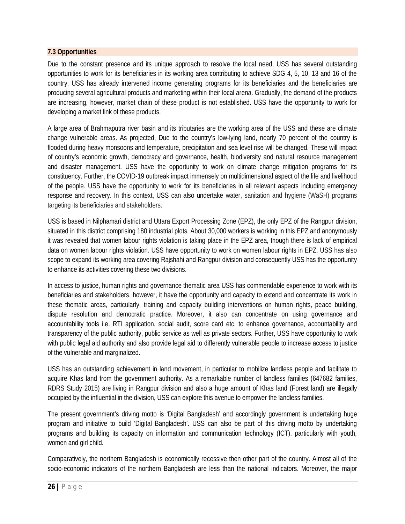#### **7.3 Opportunities**

Due to the constant presence and its unique approach to resolve the local need, USS has several outstanding opportunities to work for its beneficiaries in its working area contributing to achieve SDG 4, 5, 10, 13 and 16 of the country. USS has already intervened income generating programs for its beneficiaries and the beneficiaries are producing several agricultural products and marketing within their local arena. Gradually, the demand of the products are increasing, however, market chain of these product is not established. USS have the opportunity to work for developing a market link of these products.

A large area of Brahmaputra river basin and its tributaries are the working area of the USS and these are climate change vulnerable areas. As projected, Due to the country's low-lying land, nearly 70 percent of the country is flooded during heavy monsoons and temperature, precipitation and sea level rise will be changed. These will impact of country's economic growth, democracy and governance, health, biodiversity and natural resource management and disaster management. USS have the opportunity to work on climate change mitigation programs for its constituency. Further, the COVID-19 outbreak impact immensely on multidimensional aspect of the life and livelihood of the people. USS have the opportunity to work for its beneficiaries in all relevant aspects including emergency response and recovery. In this context, USS can also undertake water, sanitation and hygiene (WaSH) programs targeting its beneficiaries and stakeholders.

USS is based in Nilphamari district and Uttara Export Processing Zone (EPZ), the only EPZ of the Rangpur division, situated in this district comprising 180 industrial plots. About 30,000 workers is working in this EPZ and anonymously it was revealed that women labour rights violation is taking place in the EPZ area, though there is lack of empirical data on women labour rights violation. USS have opportunity to work on women labour rights in EPZ. USS has also scope to expand its working area covering Rajshahi and Rangpur division and consequently USS has the opportunity to enhance its activities covering these two divisions.

In access to justice, human rights and governance thematic area USS has commendable experience to work with its beneficiaries and stakeholders, however, it have the opportunity and capacity to extend and concentrate its work in these thematic areas, particularly, training and capacity building interventions on human rights, peace building, dispute resolution and democratic practice. Moreover, it also can concentrate on using governance and accountability tools i.e. RTI application, social audit, score card etc. to enhance governance, accountability and transparency of the public authority, public service as well as private sectors. Further, USS have opportunity to work with public legal aid authority and also provide legal aid to differently vulnerable people to increase access to justice of the vulnerable and marginalized.

USS has an outstanding achievement in land movement, in particular to mobilize landless people and facilitate to acquire Khas land from the government authority. As a remarkable number of landless families (647682 families, RDRS Study 2015) are living in Rangpur division and also a huge amount of Khas land (Forest land) are illegally occupied by the influential in the division, USS can explore this avenue to empower the landless families.

The present government's driving motto is 'Digital Bangladesh' and accordingly government is undertaking huge program and initiative to build 'Digital Bangladesh'. USS can also be part of this driving motto by undertaking programs and building its capacity on information and communication technology (ICT), particularly with youth, women and girl child.

Comparatively, the northern Bangladesh is economically recessive then other part of the country. Almost all of the socio-economic indicators of the northern Bangladesh are less than the national indicators. Moreover, the major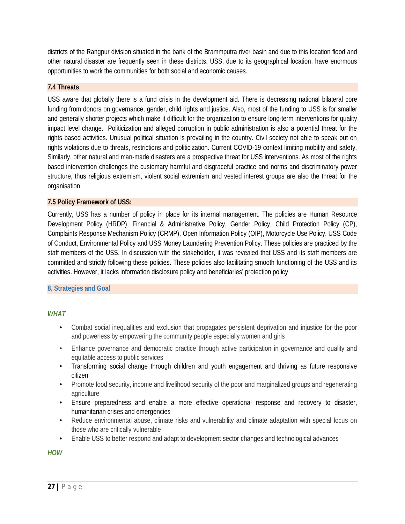districts of the Rangpur division situated in the bank of the Brammputra river basin and due to this location flood and other natural disaster are frequently seen in these districts. USS, due to its geographical location, have enormous opportunities to work the communities for both social and economic causes.

#### **7.4 Threats**

USS aware that globally there is a fund crisis in the development aid. There is decreasing national bilateral core funding from donors on governance, gender, child rights and justice. Also, most of the funding to USS is for smaller and generally shorter projects which make it difficult for the organization to ensure long-term interventions for quality impact level change. Politicization and alleged corruption in public administration is also a potential threat for the rights based activities. Unusual political situation is prevailing in the country. Civil society not able to speak out on rights violations due to threats, restrictions and politicization. Current COVID-19 context limiting mobility and safety. Similarly, other natural and man-made disasters are a prospective threat for USS interventions. As most of the rights based intervention challenges the customary harmful and disgraceful practice and norms and discriminatory power structure, thus religious extremism, violent social extremism and vested interest groups are also the threat for the organisation.

#### **7.5 Policy Framework of USS:**

Currently, USS has a number of policy in place for its internal management. The policies are Human Resource Development Policy (HRDP), Financial & Administrative Policy, Gender Policy, Child Protection Policy (CP), Complaints Response Mechanism Policy (CRMP), Open Information Policy (OIP), Motorcycle Use Policy, USS Code of Conduct, Environmental Policy and USS Money Laundering Prevention Policy. These policies are practiced by the staff members of the USS. In discussion with the stakeholder, it was revealed that USS and its staff members are committed and strictly following these policies. These policies also facilitating smooth functioning of the USS and its activities. However, it lacks information disclosure policy and beneficiaries' protection policy

#### **8. Strategies and Goal**

#### *WHAT*

- Combat social inequalities and exclusion that propagates persistent deprivation and injustice for the poor and powerless by empowering the community people especially women and girls
- Enhance governance and democratic practice through active participation in governance and quality and equitable access to public services
- Transforming social change through children and youth engagement and thriving as future responsive citizen
- Promote food security, income and livelihood security of the poor and marginalized groups and regenerating agriculture
- Ensure preparedness and enable a more effective operational response and recovery to disaster, humanitarian crises and emergencies
- Reduce environmental abuse, climate risks and vulnerability and climate adaptation with special focus on those who are critically vulnerable
- Enable USS to better respond and adapt to development sector changes and technological advances

*HOW*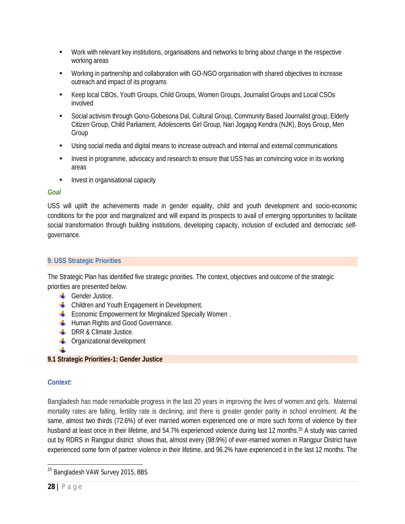- Work with relevant key institutions, organisations and networks to bring about change in the respective working areas
- Working in partnership and collaboration with GO-NGO organisation with shared objectives to increase outreach and impact of its programs
- Keep local CBOs, Youth Groups, Child Groups, Women Groups, Journalist Groups and Local CSOs involved
- Social activism through Gono-Gobesona Dal, Cultural Group, Community Based Journalist group, Elderly Citizen Group, Child Parliament, Adolescents Girl Group, Nari Jogajog Kendra (NJK), Boys Group, Men Group
- Using social media and digital means to increase outreach and internal and external communications
- Invest in programme, advocacy and research to ensure that USS has an convincing voice in its working areas
- Invest in organisational capacity

## *Goal*

USS will uplift the achievements made in gender equality, child and youth development and socio-economic conditions for the poor and marginalized and will expand its prospects to avail of emerging opportunities to facilitate social transformation through building institutions, developing capacity, inclusion of excluded and democratic selfgovernance.

## **9. USS Strategic Priorities**

The Strategic Plan has identified five strategic priorities. The context, objectives and outcome of the strategic priorities are presented below.

- **H** Gender Justice.
- **L** Children and Youth Engagement in Development.
- **Example 2** Economic Empowerment for Mirginalized Specially Women.
- **Human Rights and Good Governance.**
- $\bigcup$  DRR & Climate Justice.
- **C** Organizational development
- 41

# **9.1 Strategic Priorities-1: Gender Justice**

## *Context:*

Bangladesh has made remarkable progress in the last 20 years in improving the lives of women and girls. Maternal mortality rates are falling, fertility rate is declining, and there is greater gender parity in school enrolment. At the same, almost two thirds (72.6%) of ever married women experienced one or more such forms of violence by their husband at least once in their lifetime, and 54.7% experienced violence during last 12 months.<sup>25</sup> A study was carried out by RDRS in Rangpur district shows that, almost every (98.9%) of ever-married women in Rangpur District have experienced some form of partner violence in their lifetime, and 96.2% have experienced it in the last 12 months. The

 $\overline{a}$ <sup>25</sup> Bangladesh VAW Survey 2015, BBS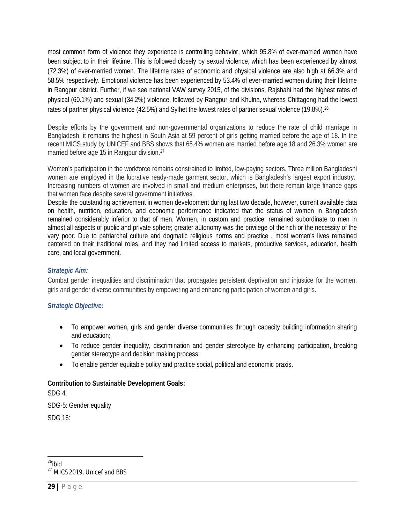most common form of violence they experience is controlling behavior, which 95.8% of ever-married women have been subject to in their lifetime. This is followed closely by sexual violence, which has been experienced by almost (72.3%) of ever-married women. The lifetime rates of economic and physical violence are also high at 66.3% and 58.5% respectively. Emotional violence has been experienced by 53.4% of ever-married women during their lifetime in Rangpur district. Further, if we see national VAW survey 2015, of the divisions, Rajshahi had the highest rates of physical (60.1%) and sexual (34.2%) violence, followed by Rangpur and Khulna, whereas Chittagong had the lowest rates of partner physical violence (42.5%) and Sylhet the lowest rates of partner sexual violence (19.8%).<sup>26</sup>

Despite efforts by the government and non-governmental organizations to reduce the rate of child marriage in Bangladesh, it remains the highest in South Asia at 59 percent of girls getting married before the age of 18. In the recent MICS study by UNICEF and BBS shows that 65.4% women are married before age 18 and 26.3% women are married before age 15 in Rangpur division.<sup>27</sup>

Women's participation in the workforce remains constrained to limited, low-paying sectors. Three million Bangladeshi women are employed in the lucrative ready-made garment sector, which is Bangladesh's largest export industry. Increasing numbers of women are involved in small and medium enterprises, but there remain large finance gaps that women face despite several government initiatives.

Despite the outstanding achievement in women development during last two decade, however, current available data on health, nutrition, education, and economic performance indicated that the status of women in Bangladesh remained considerably inferior to that of men. Women, in custom and practice, remained subordinate to men in almost all aspects of public and private sphere; greater autonomy was the privilege of the rich or the necessity of the very poor. Due to patriarchal culture and dogmatic religious norms and practice , most women's lives remained centered on their traditional roles, and they had limited access to markets, productive services, education, health care, and local government.

## *Strategic Aim:*

Combat gender inequalities and discrimination that propagates persistent deprivation and injustice for the women, girls and gender diverse communities by empowering and enhancing participation of women and girls.

## *Strategic Objective:*

- To empower women, girls and gender diverse communities through capacity building information sharing and education;
- To reduce gender inequality, discrimination and gender stereotype by enhancing participation, breaking gender stereotype and decision making process;
- To enable gender equitable policy and practice social, political and economic praxis.

## **Contribution to Sustainable Development Goals:**

SDG 4:

SDG-5: Gender equality

SDG 16:

 $\overline{\phantom{a}}$ <sup>26</sup>*ibid*

<sup>&</sup>lt;sup>27</sup> MICS 2019, Unicef and BBS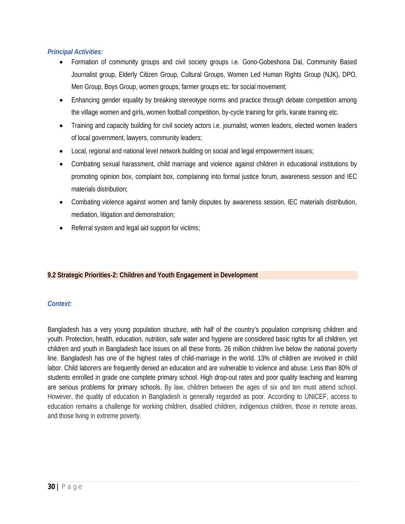## *Principal Activities:*

- Formation of community groups and civil society groups i.e. Gono-Gobeshona Dal, Community Based Journalist group, Elderly Citizen Group, Cultural Groups, Women Led Human Rights Group (NJK), DPO, Men Group, Boys Group, women groups, farmer groups etc. for social movement;
- Enhancing gender equality by breaking stereotype norms and practice through debate competition among the village women and girls, women football competition, by-cycle training for girls, karate training etc.
- Training and capacity building for civil society actors i.e. journalist, women leaders, elected women leaders of local government, lawyers, community leaders;
- Local, regional and national level network building on social and legal empowerment issues;
- Combating sexual harassment, child marriage and violence against children in educational institutions by promoting opinion box, complaint box, complaining into formal justice forum, awareness session and IEC materials distribution;
- Combating violence against women and family disputes by awareness session, IEC materials distribution, mediation, litigation and demonstration;
- Referral system and legal aid support for victims;

## **9.2 Strategic Priorities-2: Children and Youth Engagement in Development**

#### *Context:*

Bangladesh has a very young population structure, with half of the country's population comprising children and youth. Protection, health, education, nutrition, safe water and hygiene are considered basic rights for all children, yet children and youth in Bangladesh face issues on all these fronts. 26 million children live below the national poverty line. Bangladesh has one of the highest rates of child-marriage in the world. 13% of children are involved in child labor. Child laborers are frequently denied an education and are vulnerable to violence and abuse. Less than 80% of students enrolled in grade one complete primary school. High drop-out rates and poor quality teaching and learning are serious problems for primary schools. By law, children between the ages of six and ten must attend school. However, the quality of education in Bangladesh is generally regarded as poor. According to UNICEF, access to education remains a challenge for working children, disabled children, indigenous children, those in remote areas, and those living in extreme poverty.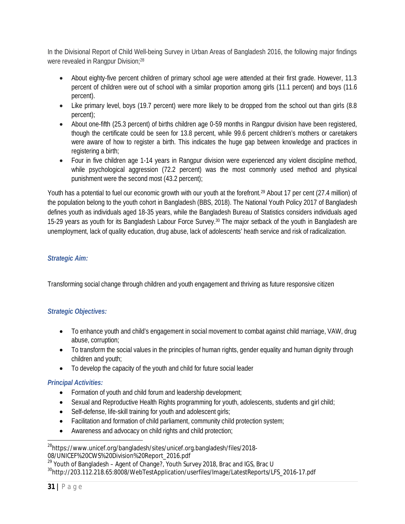In the Divisional Report of Child Well-being Survey in Urban Areas of Bangladesh 2016, the following major findings were revealed in Rangpur Division;<sup>28</sup>

- About eighty-five percent children of primary school age were attended at their first grade. However, 11.3 percent of children were out of school with a similar proportion among girls (11.1 percent) and boys (11.6 percent).
- Like primary level, boys (19.7 percent) were more likely to be dropped from the school out than girls (8.8 percent);
- About one-fifth (25.3 percent) of births children age 0-59 months in Rangpur division have been registered, though the certificate could be seen for 13.8 percent, while 99.6 percent children's mothers or caretakers were aware of how to register a birth. This indicates the huge gap between knowledge and practices in registering a birth;
- Four in five children age 1-14 years in Rangpur division were experienced any violent discipline method, while psychological aggression (72.2 percent) was the most commonly used method and physical punishment were the second most (43.2 percent);

Youth has a potential to fuel our economic growth with our youth at the forefront.<sup>29</sup> About 17 per cent (27.4 million) of the population belong to the youth cohort in Bangladesh (BBS, 2018). The National Youth Policy 2017 of Bangladesh defines youth as individuals aged 18-35 years, while the Bangladesh Bureau of Statistics considers individuals aged 15-29 years as youth for its Bangladesh Labour Force Survey.<sup>30</sup> The major setback of the youth in Bangladesh are unemployment, lack of quality education, drug abuse, lack of adolescents' heath service and risk of radicalization.

## *Strategic Aim:*

Transforming social change through children and youth engagement and thriving as future responsive citizen

## *Strategic Objectives:*

- To enhance youth and child's engagement in social movement to combat against child marriage, VAW, drug abuse, corruption;
- To transform the social values in the principles of human rights, gender equality and human dignity through children and youth;
- To develop the capacity of the youth and child for future social leader

## *Principal Activities:*

- Formation of youth and child forum and leadership development;
- Sexual and Reproductive Health Rights programming for youth, adolescents, students and girl child;
- Self-defense, life-skill training for youth and adolescent girls;
- Facilitation and formation of child parliament, community child protection system;
- Awareness and advocacy on child rights and child protection;

 $\overline{a}$ <sup>28</sup><https://www.unicef.org/bangladesh/sites/unicef.org.bangladesh/files/2018-> 08/UNICEF%20CWS%20Division%20Report\_2016.pdf

 $^{29}$  Youth of Bangladesh - Agent of Change?, Youth Survey 2018, Brac and IGS, Brac U

<sup>30</sup>[http://203.112.218.65:8008/WebTestApplication/userfiles/Image/LatestReports/LFS\\_2016-17.pdf](http://203.112.218.65:8008/WebTestApplication/userfiles/Image/LatestReports/LFS_2016-17.pdf)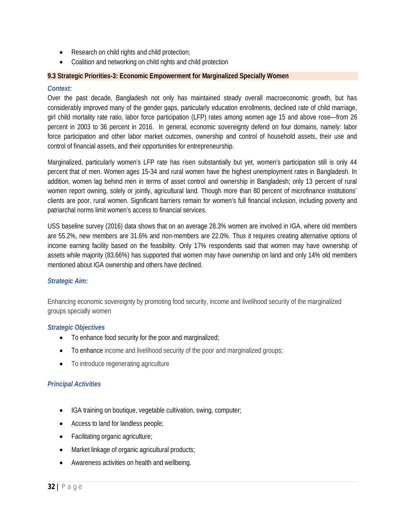- Research on child rights and child protection;
- Coalition and networking on child rights and child protection

#### **9.3 Strategic Priorities-3: Economic Empowerment for Marginalized Specially Women**

#### *Context:*

Over the past decade, Bangladesh not only has maintained steady overall macroeconomic growth, but has considerably improved many of the gender gaps, particularly education enrollments, declined rate of child marriage, girl child mortality rate ratio, labor force participation (LFP) rates among women age 15 and above rose—from 26 percent in 2003 to 36 percent in 2016. In general, economic sovereignty defend on four domains, namely: labor force participation and other labor market outcomes, ownership and control of household assets, their use and control of financial assets, and their opportunities for entrepreneurship.

Marginalized, particularly women's LFP rate has risen substantially but yet, women's participation still is only 44 percent that of men. Women ages 15-34 and rural women have the highest unemployment rates in Bangladesh. In addition, women lag behind men in terms of asset control and ownership in Bangladesh; only 13 percent of rural women report owning, solely or jointly, agricultural land. Though more than 80 percent of microfinance institutions' clients are poor, rural women. Significant barriers remain for women's full financial inclusion, including poverty and patriarchal norms limit women's access to financial services.

USS baseline survey (2016) data shows that on an average 28.3% women are involved in IGA, where old members are 55.2%, new members are 31.6% and non-members are 22.0%. Thus it requires creating alternative options of income earning facility based on the feasibility. Only 17% respondents said that women may have ownership of assets while majority (83.66%) has supported that women may have ownership on land and only 14% old members mentioned about IGA ownership and others have declined.

#### *Strategic Aim:*

Enhancing economic sovereignty by promoting food security, income and livelihood security of the marginalized groups specially women

#### *Strategic Objectives*

- To enhance food security for the poor and marginalized;
- To enhance income and livelihood security of the poor and marginalized groups;
- To introduce regenerating agriculture

#### *Principal Activities*

- IGA training on boutique, vegetable cultivation, swing, computer;
- Access to land for landless people;
- Facilitating organic agriculture;
- Market linkage of organic agricultural products;
- Awareness activities on health and wellbeing.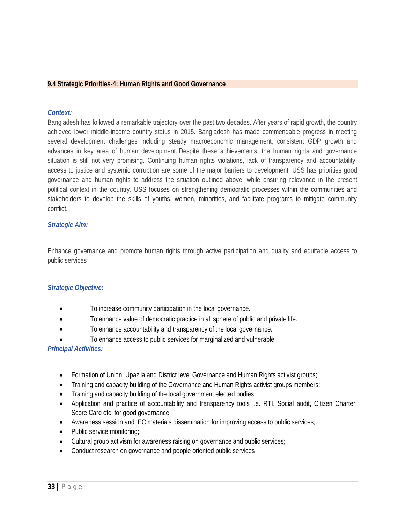#### **9.4 Strategic Priorities-4: Human Rights and Good Governance**

#### *Context:*

Bangladesh has followed a remarkable trajectory over the past two decades. After years of rapid growth, the country achieved lower middle-income country status in 2015. Bangladesh has made commendable progress in meeting several development challenges including steady macroeconomic management, consistent GDP growth and advances in key area of human development. Despite these achievements, the human rights and governance situation is still not very promising. Continuing human rights violations, lack of transparency and accountability, access to justice and systemic corruption are some of the major barriers to development. USS has priorities good governance and human rights to address the situation outlined above, while ensuring relevance in the present political context in the country. USS focuses on strengthening democratic processes within the communities and stakeholders to develop the skills of youths, women, minorities, and facilitate programs to mitigate community conflict.

#### *Strategic Aim:*

Enhance governance and promote human rights through active participation and quality and equitable access to public services

#### *Strategic Objective:*

- To increase community participation in the local governance.
- To enhance value of democratic practice in all sphere of public and private life.
- To enhance accountability and transparency of the local governance.
- To enhance access to public services for marginalized and vulnerable

#### *Principal Activities:*

- Formation of Union, Upazila and District level Governance and Human Rights activist groups;
- Training and capacity building of the Governance and Human Rights activist groups members;
- Training and capacity building of the local government elected bodies;
- Application and practice of accountability and transparency tools i.e. RTI, Social audit, Citizen Charter, Score Card etc. for good governance;
- Awareness session and IEC materials dissemination for improving access to public services;
- Public service monitoring;
- Cultural group activism for awareness raising on governance and public services;
- Conduct research on governance and people oriented public services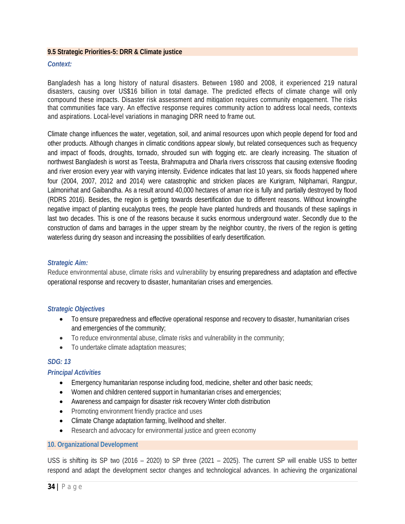#### **9.5 Strategic Priorities-5: DRR & Climate justice**

#### *Context:*

Bangladesh has a long history of natural disasters. Between 1980 and 2008, it experienced 219 natural disasters, causing over US\$16 billion in total damage. The predicted effects of climate change will only compound these impacts. Disaster risk assessment and mitigation requires community engagement. The risks that communities face vary. An effective response requires community action to address local needs, contexts and aspirations. Local-level variations in managing DRR need to frame out.

Climate change influences the water, vegetation, soil, and animal resources upon which people depend for food and other products. Although changes in climatic conditions appear slowly, but related consequences such as frequency and impact of floods, droughts, tornado, shrouded sun with fogging etc. are clearly increasing. The situation of northwest Bangladesh is worst as Teesta, Brahmaputra and Dharla rivers crisscross that causing extensive flooding and river erosion every year with varying intensity. Evidence indicates that last 10 years, six floods happened where four (2004, 2007, 2012 and 2014) were catastrophic and stricken places are Kurigram, Nilphamari, Rangpur, Lalmonirhat and Gaibandha. As a result around 40,000 hectares of *aman* rice is fully and partially destroyed by flood (RDRS 2016). Besides, the region is getting towards desertification due to different reasons. Without knowingthe negative impact of planting eucalyptus trees, the people have planted hundreds and thousands of these saplings in last two decades. This is one of the reasons because it sucks enormous underground water. Secondly due to the construction of dams and barrages in the upper stream by the neighbor country, the rivers of the region is getting waterless during dry season and increasing the possibilities of early desertification.

#### *Strategic Aim:*

Reduce environmental abuse, climate risks and vulnerability by ensuring preparedness and adaptation and effective operational response and recovery to disaster, humanitarian crises and emergencies.

#### *Strategic Objectives*

- To ensure preparedness and effective operational response and recovery to disaster, humanitarian crises and emergencies of the community;
- To reduce environmental abuse, climate risks and vulnerability in the community;
- To undertake climate adaptation measures;

#### *SDG: 13*

#### *Principal Activities*

- Emergency humanitarian response including food, medicine, shelter and other basic needs;
- Women and children centered support in humanitarian crises and emergencies;
- Awareness and campaign for disaster risk recovery Winter cloth distribution
- Promoting environment friendly practice and uses
- Climate Change adaptation farming, livelihood and shelter.
- Research and advocacy for environmental justice and green economy

#### **10. Organizational Development**

USS is shifting its SP two (2016 – 2020) to SP three (2021 – 2025). The current SP will enable USS to better respond and adapt the development sector changes and technological advances. In achieving the organizational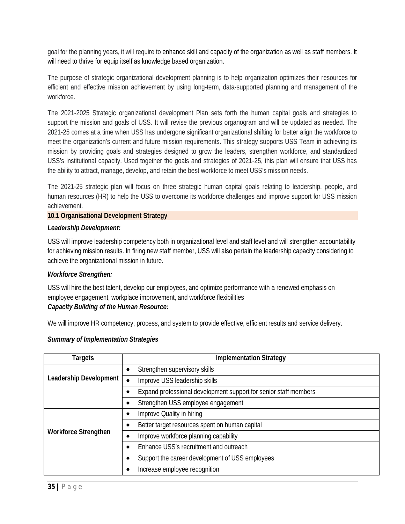goal for the planning years, it will require to enhance skill and capacity of the organization as well as staff members. It will need to thrive for equip itself as knowledge based organization.

The purpose of strategic organizational development planning is to help organization optimizes their resources for efficient and effective mission achievement by using long-term, data-supported planning and management of the workforce.

The 2021-2025 Strategic organizational development Plan sets forth the human capital goals and strategies to support the mission and goals of USS. It will revise the previous organogram and will be updated as needed. The 2021-25 comes at a time when USS has undergone significant organizational shifting for better align the workforce to meet the organization's current and future mission requirements. This strategy supports USS Team in achieving its mission by providing goals and strategies designed to grow the leaders, strengthen workforce, and standardized USS's institutional capacity. Used together the goals and strategies of 2021-25, this plan will ensure that USS has the ability to attract, manage, develop, and retain the best workforce to meet USS's mission needs.

The 2021-25 strategic plan will focus on three strategic human capital goals relating to leadership, people, and human resources (HR) to help the USS to overcome its workforce challenges and improve support for USS mission achievement.

#### **10.1 Organisational Development Strategy**

#### *Leadership Development:*

USS will improve leadership competency both in organizational level and staff level and will strengthen accountability for achieving mission results. In firing new staff member, USS will also pertain the leadership capacity considering to achieve the organizational mission in future.

#### *Workforce Strengthen:*

USS will hire the best talent, develop our employees, and optimize performance with a renewed emphasis on employee engagement, workplace improvement, and workforce flexibilities

#### *Capacity Building of the Human Resource:*

We will improve HR competency, process, and system to provide effective, efficient results and service delivery.

| Targets                       | <b>Implementation Strategy</b>                                   |  |  |
|-------------------------------|------------------------------------------------------------------|--|--|
|                               | Strengthen supervisory skills                                    |  |  |
| <b>Leadership Development</b> | Improve USS leadership skills                                    |  |  |
|                               | Expand professional development support for senior staff members |  |  |
|                               | Strengthen USS employee engagement                               |  |  |
|                               | Improve Quality in hiring                                        |  |  |
|                               | Better target resources spent on human capital                   |  |  |
| <b>Workforce Strengthen</b>   | Improve workforce planning capability                            |  |  |
|                               | Enhance USS's recruitment and outreach                           |  |  |
|                               | Support the career development of USS employees                  |  |  |
|                               | Increase employee recognition                                    |  |  |

#### *Summary of Implementation Strategies*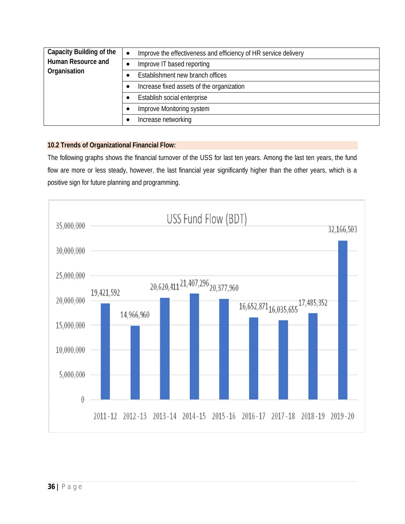| <b>Capacity Building of the</b>           | $\bullet$ | Improve the effectiveness and efficiency of HR service delivery |  |  |  |
|-------------------------------------------|-----------|-----------------------------------------------------------------|--|--|--|
| <b>Human Resource and</b><br>Organisation |           | Improve IT based reporting                                      |  |  |  |
|                                           |           | Establishment new branch offices                                |  |  |  |
|                                           |           | Increase fixed assets of the organization                       |  |  |  |
|                                           |           | Establish social enterprise                                     |  |  |  |
| Improve Monitoring system                 |           |                                                                 |  |  |  |
|                                           |           | Increase networking                                             |  |  |  |

#### **10.2 Trends of Organizational Financial Flow:**

The following graphs shows the financial turnover of the USS for last ten years. Among the last ten years, the fund flow are more or less steady, however, the last financial year significantly higher than the other years, which is a positive sign for future planning and programming.

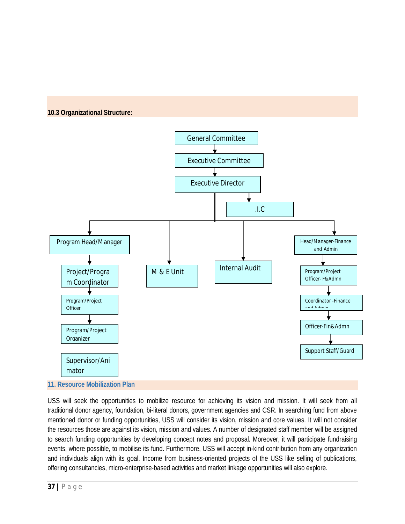





USS will seek the opportunities to mobilize resource for achieving its vision and mission. It will seek from all traditional donor agency, foundation, bi-literal donors, government agencies and CSR. In searching fund from above mentioned donor or funding opportunities, USS will consider its vision, mission and core values. It will not consider the resources those are against its vision, mission and values. A number of designated staff member will be assigned to search funding opportunities by developing concept notes and proposal. Moreover, it will participate fundraising events, where possible, to mobilise its fund. Furthermore, USS will accept in-kind contribution from any organization and individuals align with its goal. Income from business-oriented projects of the USS like selling of publications, offering consultancies, micro-enterprise-based activities and market linkage opportunities will also explore.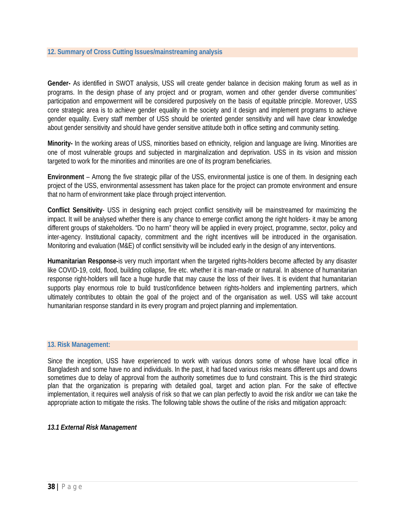**Gender-** As identified in SWOT analysis, USS will create gender balance in decision making forum as well as in programs. In the design phase of any project and or program, women and other gender diverse communities' participation and empowerment will be considered purposively on the basis of equitable principle. Moreover, USS core strategic area is to achieve gender equality in the society and it design and implement programs to achieve gender equality. Every staff member of USS should be oriented gender sensitivity and will have clear knowledge about gender sensitivity and should have gender sensitive attitude both in office setting and community setting.

**Minority-** In the working areas of USS, minorities based on ethnicity, religion and language are living. Minorities are one of most vulnerable groups and subjected in marginalization and deprivation. USS in its vision and mission targeted to work for the minorities and minorities are one of its program beneficiaries.

**Environment** – Among the five strategic pillar of the USS, environmental justice is one of them. In designing each project of the USS, environmental assessment has taken place for the project can promote environment and ensure that no harm of environment take place through project intervention.

**Conflict Sensitivity**- USS in designing each project conflict sensitivity will be mainstreamed for maximizing the impact. It will be analysed whether there is any chance to emerge conflict among the right holders- it may be among different groups of stakeholders. "Do no harm" theory will be applied in every project, programme, sector, policy and inter-agency. Institutional capacity, commitment and the right incentives will be introduced in the organisation. Monitoring and evaluation (M&E) of conflict sensitivity will be included early in the design of any interventions.

**Humanitarian Response-**is very much important when the targeted rights-holders become affected by any disaster like COVID-19, cold, flood, building collapse, fire etc. whether it is man-made or natural. In absence of humanitarian response right-holders will face a huge hurdle that may cause the loss of their lives. It is evident that humanitarian supports play enormous role to build trust/confidence between rights-holders and implementing partners, which ultimately contributes to obtain the goal of the project and of the organisation as well. USS will take account humanitarian response standard in its every program and project planning and implementation.

#### **13. Risk Management:**

Since the inception, USS have experienced to work with various donors some of whose have local office in Bangladesh and some have no and individuals. In the past, it had faced various risks means different ups and downs sometimes due to delay of approval from the authority sometimes due to fund constraint. This is the third strategic plan that the organization is preparing with detailed goal, target and action plan. For the sake of effective implementation, it requires well analysis of risk so that we can plan perfectly to avoid the risk and/or we can take the appropriate action to mitigate the risks. The following table shows the outline of the risks and mitigation approach:

#### *13.1 External Risk Management*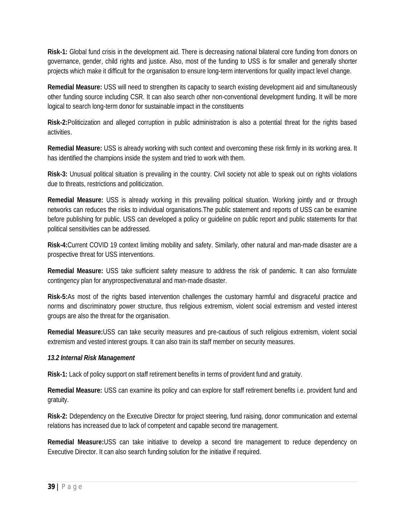**Risk-1:** Global fund crisis in the development aid. There is decreasing national bilateral core funding from donors on governance, gender, child rights and justice. Also, most of the funding to USS is for smaller and generally shorter projects which make it difficult for the organisation to ensure long-term interventions for quality impact level change.

**Remedial Measure:** USS will need to strengthen its capacity to search existing development aid and simultaneously other funding source including CSR. It can also search other non-conventional development funding. It will be more logical to search long-term donor for sustainable impact in the constituents

**Risk-2:**Politicization and alleged corruption in public administration is also a potential threat for the rights based activities.

**Remedial Measure:** USS is already working with such context and overcoming these risk firmly in its working area. It has identified the champions inside the system and tried to work with them.

**Risk-3:** Unusual political situation is prevailing in the country. Civil society not able to speak out on rights violations due to threats, restrictions and politicization.

**Remedial Measure:** USS is already working in this prevailing political situation. Working jointly and or through networks can reduces the risks to individual organisations.The public statement and reports of USS can be examine before publishing for public. USS can developed a policy or guideline on public report and public statements for that political sensitivities can be addressed.

**Risk-4:**Current COVID 19 context limiting mobility and safety. Similarly, other natural and man-made disaster are a prospective threat for USS interventions.

**Remedial Measure:** USS take sufficient safety measure to address the risk of pandemic. It can also formulate contingency plan for anyprospectivenatural and man-made disaster.

**Risk-5:**As most of the rights based intervention challenges the customary harmful and disgraceful practice and norms and discriminatory power structure, thus religious extremism, violent social extremism and vested interest groups are also the threat for the organisation.

**Remedial Measure:**USS can take security measures and pre-cautious of such religious extremism, violent social extremism and vested interest groups. It can also train its staff member on security measures.

## *13.2 Internal Risk Management*

**Risk-1:** Lack of policy support on staff retirement benefits in terms of provident fund and gratuity.

**Remedial Measure:** USS can examine its policy and can explore for staff retirement benefits i.e. provident fund and gratuity.

**Risk-2:** Ddependency on the Executive Director for project steering, fund raising, donor communication and external relations has increased due to lack of competent and capable second tire management.

**Remedial Measure:**USS can take initiative to develop a second tire management to reduce dependency on Executive Director. It can also search funding solution for the initiative if required.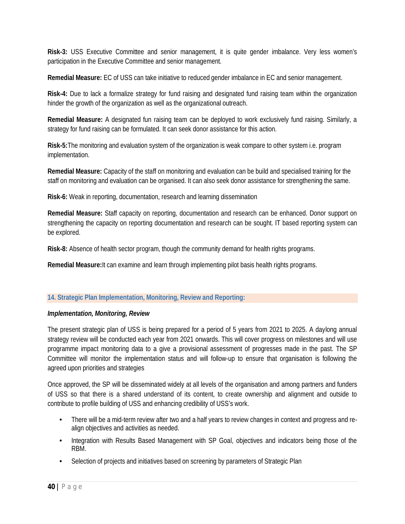**Risk-3:** USS Executive Committee and senior management, it is quite gender imbalance. Very less women's participation in the Executive Committee and senior management.

**Remedial Measure:** EC of USS can take initiative to reduced gender imbalance in EC and senior management.

**Risk-4:** Due to lack a formalize strategy for fund raising and designated fund raising team within the organization hinder the growth of the organization as well as the organizational outreach.

**Remedial Measure:** A designated fun raising team can be deployed to work exclusively fund raising. Similarly, a strategy for fund raising can be formulated. It can seek donor assistance for this action.

**Risk-5:**The monitoring and evaluation system of the organization is weak compare to other system i.e. program implementation.

**Remedial Measure:** Capacity of the staff on monitoring and evaluation can be build and specialised training for the staff on monitoring and evaluation can be organised. It can also seek donor assistance for strengthening the same.

**Risk-6:** Weak in reporting, documentation, research and learning dissemination

**Remedial Measure:** Staff capacity on reporting, documentation and research can be enhanced. Donor support on strengthening the capacity on reporting documentation and research can be sought. IT based reporting system can be explored.

**Risk-8:** Absence of health sector program, though the community demand for health rights programs.

**Remedial Measure:**It can examine and learn through implementing pilot basis health rights programs.

#### **14. Strategic Plan Implementation, Monitoring, Review and Reporting:**

#### *Implementation, Monitoring, Review*

The present strategic plan of USS is being prepared for a period of 5 years from 2021 to 2025. A daylong annual strategy review will be conducted each year from 2021 onwards. This will cover progress on milestones and will use programme impact monitoring data to a give a provisional assessment of progresses made in the past. The SP Committee will monitor the implementation status and will follow-up to ensure that organisation is following the agreed upon priorities and strategies

Once approved, the SP will be disseminated widely at all levels of the organisation and among partners and funders of USS so that there is a shared understand of its content, to create ownership and alignment and outside to contribute to profile building of USS and enhancing credibility of USS's work.

- There will be a mid-term review after two and a half years to review changes in context and progress and realign objectives and activities as needed.
- Integration with Results Based Management with SP Goal, objectives and indicators being those of the RBM.
- Selection of projects and initiatives based on screening by parameters of Strategic Plan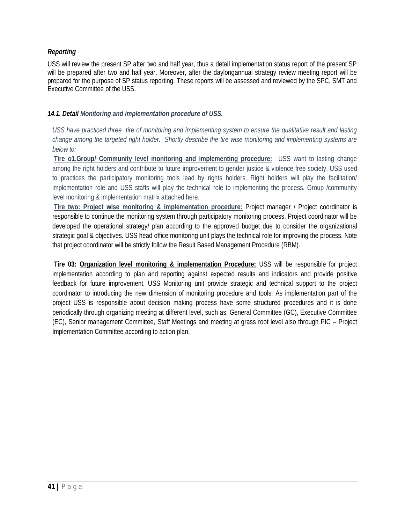## *Reporting*

USS will review the present SP after two and half year, thus a detail implementation status report of the present SP will be prepared after two and half year. Moreover, after the daylongannual strategy review meeting report will be prepared for the purpose of SP status reporting. These reports will be assessed and reviewed by the SPC, SMT and Executive Committee of the USS.

#### *14.1. Detail Monitoring and implementation procedure of USS.*

*USS have practiced three tire of monitoring and implementing system to ensure the qualitative result and lasting change among the targeted right holder. Shortly describe the tire wise monitoring and implementing systems are below to:*

**Tire o1.Group/ Community level monitoring and implementing procedure:** USS want to lasting change among the right holders and contribute to future improvement to gender justice & violence free society. USS used to practices the participatory monitoring tools lead by rights holders. Right holders will play the facilitation/ implementation role and USS staffs will play the technical role to implementing the process. Group /community level monitoring & implementation matrix attached here.

**Tire two: Project wise monitoring & implementation procedure:** Project manager / Project coordinator is responsible to continue the monitoring system through participatory monitoring process. Project coordinator will be developed the operational strategy/ plan according to the approved budget due to consider the organizational strategic goal & objectives. USS head office monitoring unit plays the technical role for improving the process. Note that project coordinator will be strictly follow the Result Based Management Procedure (RBM).

**Tire 03: Organization level monitoring & implementation Procedure:** USS will be responsible for project implementation according to plan and reporting against expected results and indicators and provide positive feedback for future improvement. USS Monitoring unit provide strategic and technical support to the project coordinator to introducing the new dimension of monitoring procedure and tools. As implementation part of the project USS is responsible about decision making process have some structured procedures and it is done periodically through organizing meeting at different level, such as: General Committee (GC), Executive Committee (EC), Senior management Committee, Staff Meetings and meeting at grass root level also through PIC – Project Implementation Committee according to action plan.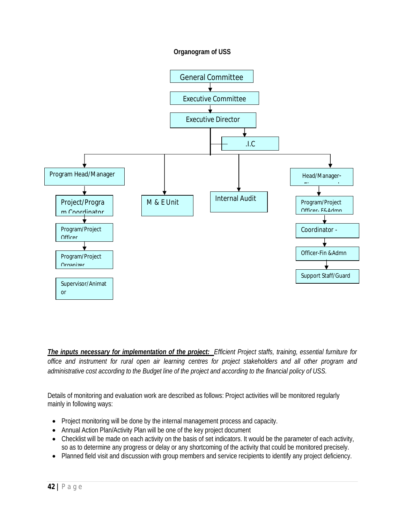#### **Organogram of USS**



*The inputs necessary for implementation of the project: Efficient Project staffs, training, essential furniture for office and instrument for rural open air learning centres for project stakeholders and all other program and administrative cost according to the Budget line of the project and according to the financial policy of USS.*

Details of monitoring and evaluation work are described as follows: Project activities will be monitored regularly mainly in following ways:

- Project monitoring will be done by the internal management process and capacity.
- Annual Action Plan/Activity Plan will be one of the key project document
- Checklist will be made on each activity on the basis of set indicators. It would be the parameter of each activity, so as to determine any progress or delay or any shortcoming of the activity that could be monitored precisely.
- Planned field visit and discussion with group members and service recipients to identify any project deficiency.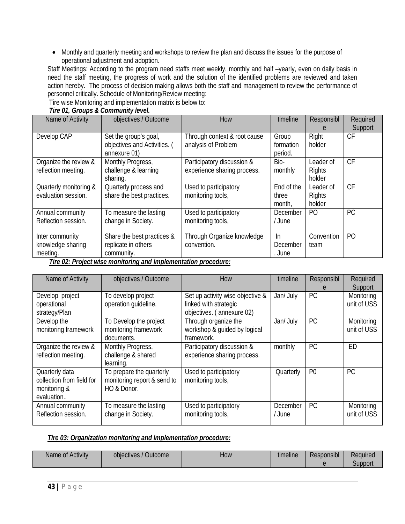• Monthly and quarterly meeting and workshops to review the plan and discuss the issues for the purpose of operational adjustment and adoption.

Staff Meetings: According to the program need staffs meet weekly, monthly and half –yearly, even on daily basis in need the staff meeting, the progress of work and the solution of the identified problems are reviewed and taken action hereby. The process of decision making allows both the staff and management to review the performance of personnel critically. Schedule of Monitoring/Review meeting:

Tire wise Monitoring and implementation matrix is below to:

| Name of Activity                                               | objectives / Outcome         | How                          | timeline   | Responsibl     | Required       |  |
|----------------------------------------------------------------|------------------------------|------------------------------|------------|----------------|----------------|--|
|                                                                |                              |                              |            | e              | Support        |  |
| Develop CAP                                                    | Set the group's goal,        | Through context & root cause | Group      | Right          | <b>CF</b>      |  |
|                                                                | objectives and Activities. ( | analysis of Problem          | formation  | holder         |                |  |
|                                                                | annexure 01)                 |                              | period.    |                |                |  |
| Organize the review &                                          | Monthly Progress,            | Participatory discussion &   | Bio-       | Leader of      | <b>CF</b>      |  |
| reflection meeting.                                            | challenge & learning         | experience sharing process.  | monthly    | <b>Rights</b>  |                |  |
|                                                                | sharing.                     |                              |            | holder         |                |  |
| Quarterly monitoring &                                         | Quarterly process and        | Used to participatory        | End of the | Leader of      | <b>CF</b>      |  |
| evaluation session.                                            | share the best practices.    | monitoring tools,            | three      | <b>Rights</b>  |                |  |
|                                                                |                              |                              | month,     | holder         |                |  |
| Annual community                                               | To measure the lasting       | Used to participatory        | December   | P <sub>O</sub> | <b>PC</b>      |  |
| Reflection session.                                            | change in Society.           | monitoring tools,            | / June     |                |                |  |
|                                                                |                              |                              |            |                |                |  |
| Inter community                                                | Share the best practices &   | Through Organize knowledge   | <b>In</b>  | Convention     | P <sub>O</sub> |  |
| knowledge sharing                                              | replicate in others          | convention.                  | December   | team           |                |  |
| meeting.                                                       | community.                   |                              | . June     |                |                |  |
| Tire 02: Project wise monitoring and implementation procedure: |                              |                              |            |                |                |  |

#### *Tire 01, Groups & Community level.*

| Name of Activity          | objectives / Outcome        | How                              | timeline  | Responsibl     | Required    |
|---------------------------|-----------------------------|----------------------------------|-----------|----------------|-------------|
|                           |                             |                                  |           |                | Support     |
| Develop project           | To develop project          | Set up activity wise objective & | Jan/ July | <b>PC</b>      | Monitoring  |
| operational               | operation guideline.        | linked with strategic            |           |                | unit of USS |
| strategy/Plan             |                             | objectives. (annexure 02)        |           |                |             |
| Develop the               | To Develop the project      | Through organize the             | Jan/ July | <b>PC</b>      | Monitoring  |
| monitoring framework      | monitoring framework        | workshop & quided by logical     |           |                | unit of USS |
|                           | documents.                  | framework.                       |           |                |             |
| Organize the review &     | Monthly Progress,           | Participatory discussion &       | monthly   | <b>PC</b>      | <b>ED</b>   |
| reflection meeting.       | challenge & shared          | experience sharing process.      |           |                |             |
|                           | learning.                   |                                  |           |                |             |
| Quarterly data            | To prepare the quarterly    | Used to participatory            | Quarterly | P <sub>0</sub> | <b>PC</b>   |
| collection from field for | monitoring report & send to | monitoring tools,                |           |                |             |
| monitoring &              | HO & Donor.                 |                                  |           |                |             |
| evaluation                |                             |                                  |           |                |             |
| Annual community          | To measure the lasting      | Used to participatory            | December  | <b>PC</b>      | Monitoring  |
| Reflection session.       | change in Society.          | monitoring tools,                | / June    |                | unit of USS |
|                           |                             |                                  |           |                |             |

#### *Tire 03: Organization monitoring and implementation procedure:*

| Name of Activity | <b>Outcome</b><br>objectives, | How | timeline | <b>THE 3</b><br>Responsibl | Required |
|------------------|-------------------------------|-----|----------|----------------------------|----------|
|                  |                               |     |          |                            | Support  |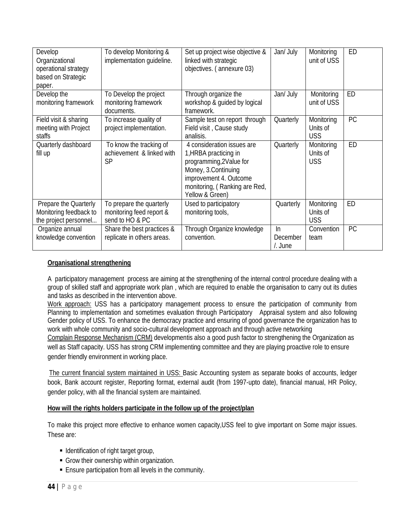| Develop<br>Organizational<br>operational strategy<br>based on Strategic<br>paper. | To develop Monitoring &<br>implementation quideline.                    | Set up project wise objective &<br>linked with strategic<br>objectives. (annexure 03)                                                                                               | Jan/ July                 | Monitoring<br>unit of USS            | ED        |
|-----------------------------------------------------------------------------------|-------------------------------------------------------------------------|-------------------------------------------------------------------------------------------------------------------------------------------------------------------------------------|---------------------------|--------------------------------------|-----------|
| Develop the<br>monitoring framework                                               | To Develop the project<br>monitoring framework<br>documents.            | Through organize the<br>workshop & guided by logical<br>framework.                                                                                                                  | Jan/ July                 | Monitoring<br>unit of USS            | ED        |
| Field visit & sharing<br>meeting with Project<br>staffs                           | To increase quality of<br>project implementation.                       | Sample test on report through<br>Field visit, Cause study<br>analisis.                                                                                                              | Quarterly                 | Monitoring<br>Units of<br><b>USS</b> | PC        |
| Quarterly dashboard<br>fill up                                                    | To know the tracking of<br>achievement & linked with<br><b>SP</b>       | 4 consideration issues are<br>1, HRBA practicing in<br>programming, 2Value for<br>Money, 3.Continuing<br>improvement 4. Outcome<br>monitoring, (Ranking are Red,<br>Yellow & Green) | Quarterly                 | Monitoring<br>Units of<br><b>USS</b> | <b>ED</b> |
| Prepare the Quarterly<br>Monitoring feedback to<br>the project personnel          | To prepare the quarterly<br>monitoring feed report &<br>send to HO & PC | Used to participatory<br>monitoring tools,                                                                                                                                          | Quarterly                 | Monitoring<br>Units of<br><b>USS</b> | <b>ED</b> |
| Organize annual<br>knowledge convention                                           | Share the best practices &<br>replicate in others areas.                | Through Organize knowledge<br>convention.                                                                                                                                           | In<br>December<br>/. June | Convention<br>team                   | PC        |

#### **Organisational strengthening**

A participatory management process are aiming at the strengthening of the internal control procedure dealing with a group of skilled staff and appropriate work plan , which are required to enable the organisation to carry out its duties and tasks as described in the intervention above.

Work approach: USS has a participatory management process to ensure the participation of community from Planning to implementation and sometimes evaluation through Participatory Appraisal system and also following Gender policy of USS. To enhance the democracy practice and ensuring of good governance the organization has to work with whole community and socio-cultural development approach and through active networking

Complain Response Mechanism (CRM) developmentis also a good push factor to strengthening the Organization as well as Staff capacity. USS has strong CRM implementing committee and they are playing proactive role to ensure gender friendly environment in working place.

The current financial system maintained in USS: Basic Accounting system as separate books of accounts, ledger book, Bank account register, Reporting format, external audit (from 1997-upto date), financial manual, HR Policy, gender policy, with all the financial system are maintained.

#### **How will the rights holders participate in the follow up of the project/plan**

To make this project more effective to enhance women capacity,USS feel to give important on Some major issues. These are:

- **IDENTIFICATE IN A LOCATE 15 IDENTIFICATE**
- Grow their ownership within organization.
- Ensure participation from all levels in the community.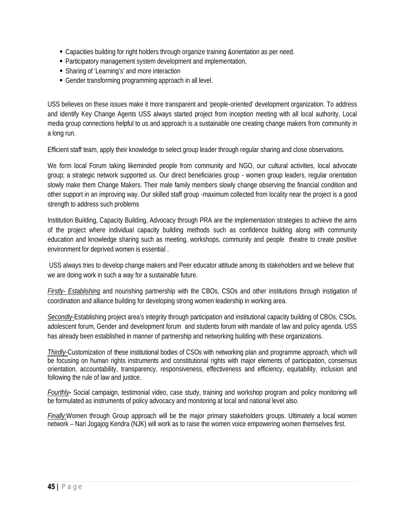- Capacities building for right holders through organize training &orientation as per need.
- Participatory management system development and implementation,
- **Sharing of 'Learning's' and more interaction**
- Gender transforming programming approach in all level.

USS believes on these issues make it more transparent and 'people-oriented' development organization. To address and identify Key Change Agents USS always started project from inception meeting with all local authority, Local media group connections helpful to us and approach is a sustainable one creating change makers from community in a long run.

Efficient staff team, apply their knowledge to select group leader through regular sharing and close observations.

We form local Forum taking likeminded people from community and NGO, our cultural activities, local advocate group; a strategic network supported us. Our direct beneficiaries group - women group leaders, regular orientation slowly make them Change Makers. Their male family members slowly change observing the financial condition and other support in an improving way. Our skilled staff group -maximum collected from locality near the project is a good strength to address such problems

Institution Building, Capacity Building, Advocacy through PRA are the implementation strategies to achieve the aims of the project where individual capacity building methods such as confidence building along with community education and knowledge sharing such as meeting, workshops, community and people theatre to create positive environment for deprived women is essential .

USS always tries to develop change makers and Peer educator attitude among its stakeholders and we believe that we are doing work in such a way for a sustainable future.

*Firstly- Establishing* and nourishing partnership with the CBOs, CSOs and other institutions through instigation of coordination and alliance building for developing strong women leadership in working area.

*Secondly-*Establishing project area's integrity through participation and institutional capacity building of CBOs, CSOs, adolescent forum, Gender and development forum and students forum with mandate of law and policy agenda. USS has already been established in manner of partnership and networking building with these organizations.

*Thirdly-*Customization of these institutional bodies of CSOs with networking plan and programme approach, which will be focusing on human rights instruments and constitutional rights with major elements of participation, consensus orientation, accountability, transparency, responsiveness, effectiveness and efficiency, equitability, inclusion and following the rule of law and justice.

*Fourthly-* Social campaign, testimonial video, case study, training and workshop program and policy monitoring will be formulated as instruments of policy advocacy and monitoring at local and national level also.

*Finally:*Women through Group approach will be the major primary stakeholders groups. Ultimately a local women network – Nari Jogajog Kendra (NJK) will work as to raise the women voice empowering women themselves first.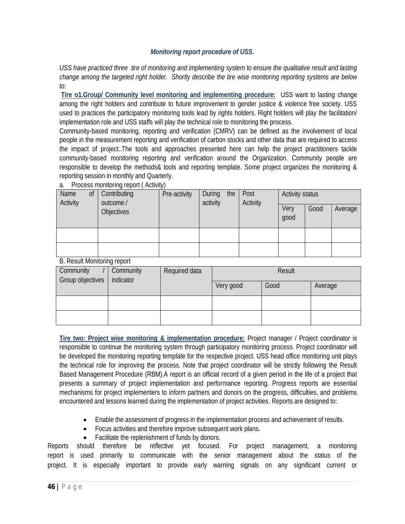#### *Monitoring report procedure of USS***.**

*USS have practiced three tire of monitoring and implementing system to ensure the qualitative result and lasting change among the targeted right holder. Shortly describe the tire wise monitoring reporting systems are below to:*

**Tire o1.Group/ Community level monitoring and implementing procedure:** USS want to lasting change among the right holders and contribute to future improvement to gender justice & violence free society. USS used to practices the participatory monitoring tools lead by rights holders. Right holders will play the facilitation/ implementation role and USS staffs will play the technical role to monitoring the process.

Community-based monitoring, reporting and verification (CMRV) can be defined as the involvement of local people in the measurement reporting and verification of carbon stocks and other data that are required to access the impact of project..The tools and approaches presented here can help the project practitioners tackle community-based monitoring reporting and verification around the Organization. Community people are responsible to develop the methods& tools and reporting template. Some project organizes the monitoring & reporting session in monthly and Quarterly.

| Name<br>Activity | <sub>of</sub> | Contributing<br>outcome./ | Pre-activity | During<br>the<br>activity | Post<br>Activity | <b>Activity status</b> |      |         |
|------------------|---------------|---------------------------|--------------|---------------------------|------------------|------------------------|------|---------|
|                  |               | <b>Objectives</b>         |              |                           |                  | Very<br>good           | Good | Average |
|                  |               |                           |              |                           |                  |                        |      |         |
|                  |               |                           |              |                           |                  |                        |      |         |

a. Process monitoring report ( Activity)

B. Result Monitoring report

| $5.100$ and $1000$ more than $1000$ . |                                         |        |           |      |         |  |  |
|---------------------------------------|-----------------------------------------|--------|-----------|------|---------|--|--|
| Community<br>Group objectives         | Required data<br>Community<br>indicator | Result |           |      |         |  |  |
|                                       |                                         |        | Very good | Good | Average |  |  |
|                                       |                                         |        |           |      |         |  |  |
|                                       |                                         |        |           |      |         |  |  |

**Tire two: Project wise monitoring & implementation procedure:** Project manager / Project coordinator is responsible to continue the monitoring system through participatory monitoring process. Project coordinator will be developed the monitoring reporting template for the respective project. USS head office monitoring unit plays the technical role for improving the process. Note that project coordinator will be strictly following the Result Based Management Procedure (RBM).A report is an official record of a given period in the life of a project that presents a summary of project implementation and performance reporting. Progress reports are essential mechanisms for project implementers to inform partners and donors on the progress, difficulties, and problems encountered and lessons learned during the implementation of project activities. Reports are designed to:

- Enable the assessment of progress in the implementation process and achievement of results.
- Focus activities and therefore improve subsequent work plans.
- Facilitate the replenishment of funds by donors.

Reports should therefore be reflective yet focused. For project management, a monitoring report is used primarily to communicate with the senior management about the status of the project. It is especially important to provide early warning signals on any significant current or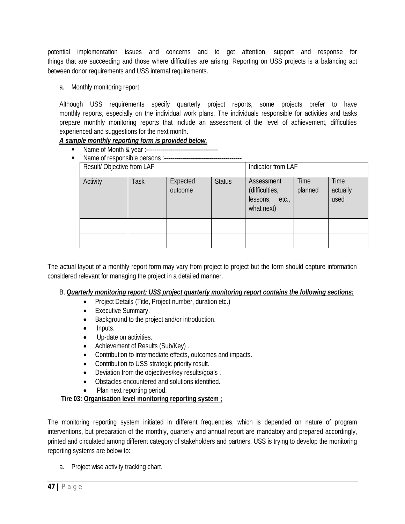potential implementation issues and concerns and to get attention, support and response for things that are succeeding and those where difficulties are arising. Reporting on USS projects is a balancing act between donor requirements and USS internal requirements.

a. Monthly monitoring report

Although USS requirements specify quarterly project reports, some projects prefer to have monthly reports, especially on the individual work plans. The individuals responsible for activities and tasks prepare monthly monitoring reports that include an assessment of the level of achievement, difficulties experienced and suggestions for the next month.

## *A sample monthly reporting form is provided below.*

- Name of Month & year :------------------------------------
- Name of responsible persons :---------------------------------------

|          | Result/ Objective from LAF |      |                     |               | Indicator from LAF                                           |                 |                          |
|----------|----------------------------|------|---------------------|---------------|--------------------------------------------------------------|-----------------|--------------------------|
| Activity |                            | Task | Expected<br>outcome | <b>Status</b> | Assessment<br>(difficulties,<br>lessons, etc.,<br>what next) | Time<br>planned | Time<br>actually<br>used |
|          |                            |      |                     |               |                                                              |                 |                          |
|          |                            |      |                     |               |                                                              |                 |                          |

The actual layout of a monthly report form may vary from project to project but the form should capture information considered relevant for managing the project in a detailed manner.

#### B. *Quarterly monitoring report: USS project quarterly monitoring report contains the following sections:*

- Project Details (Title, Project number, duration etc.)
- Executive Summary.
- Background to the project and/or introduction.
- Inputs.
- Up-date on activities.
- Achievement of Results (Sub/Key).
- Contribution to intermediate effects, outcomes and impacts.
- Contribution to USS strategic priority result.
- Deviation from the objectives/key results/goals .
- Obstacles encountered and solutions identified.
- Plan next reporting period.

## **Tire 03: Organisation level monitoring reporting system ;**

The monitoring reporting system initiated in different frequencies, which is depended on nature of program interventions, but preparation of the monthly, quarterly and annual report are mandatory and prepared accordingly, printed and circulated among different category of stakeholders and partners. USS is trying to develop the monitoring reporting systems are below to:

a. Project wise activity tracking chart.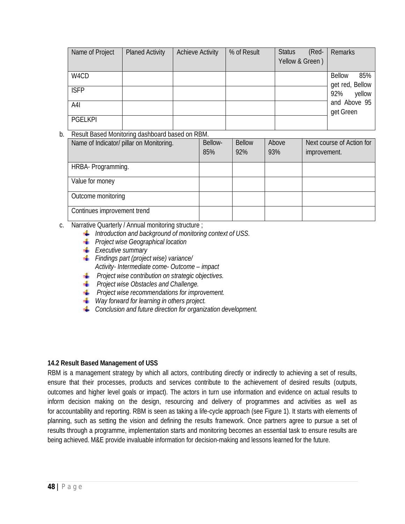| Name of Project | <b>Planed Activity</b> | <b>Achieve Activity</b> | % of Result | (Red-<br><b>Status</b><br>Yellow & Green) | Remarks                                 |
|-----------------|------------------------|-------------------------|-------------|-------------------------------------------|-----------------------------------------|
| W4CD            |                        |                         |             |                                           | 85%<br><b>Bellow</b><br>get red, Bellow |
| <b>ISFP</b>     |                        |                         |             |                                           | yellow<br>92%                           |
| A4I             |                        |                         |             |                                           | and Above 95<br>get Green               |
| <b>PGELKPI</b>  |                        |                         |             |                                           |                                         |

#### b. Result Based Monitoring dashboard based on RBM.

| Name of Indicator/ pillar on Monitoring. | Bellow-<br>85% | <b>Bellow</b><br>92% | Above<br>93% | Next course of Action for<br>improvement. |
|------------------------------------------|----------------|----------------------|--------------|-------------------------------------------|
| HRBA- Programming.                       |                |                      |              |                                           |
| Value for money                          |                |                      |              |                                           |
| Outcome monitoring                       |                |                      |              |                                           |
| Continues improvement trend              |                |                      |              |                                           |

c. Narrative Quarterly / Annual monitoring structure ;

- **I** Introduction and background of monitoring context of USS.
- *Project wise Geographical location*
- *Executive summary*
- *Findings part (project wise) variance/ Activity- Intermediate come- Outcome – impact*
- **Project wise contribution on strategic objectives.**
- *Project wise Obstacles and Challenge.*
- *Project wise recommendations for improvement.*
- *Way forward for learning in others project.*
- *Conclusion and future direction for organization development.*

#### **14.2 Result Based Management of USS**

RBM is a management strategy by which all actors, contributing directly or indirectly to achieving a set of results, ensure that their processes, products and services contribute to the achievement of desired results (outputs, outcomes and higher level goals or impact). The actors in turn use information and evidence on actual results to inform decision making on the design, resourcing and delivery of programmes and activities as well as for accountability and reporting. RBM is seen as taking a life-cycle approach (see Figure 1). It starts with elements of planning, such as setting the vision and defining the results framework. Once partners agree to pursue a set of results through a programme, implementation starts and monitoring becomes an essential task to ensure results are being achieved. M&E provide invaluable information for decision-making and lessons learned for the future.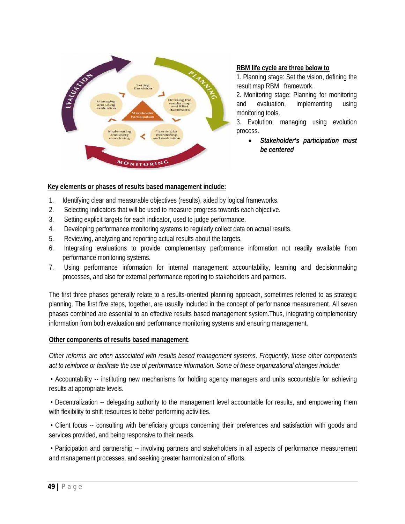

#### **RBM life cycle are three below to**

1. Planning stage: Set the vision, defining the result map RBM framework.

2. Monitoring stage: Planning for monitoring and evaluation, implementing using monitoring tools.

3. Evolution: managing using evolution process.

> *Stakeholder's participation must be centered*

#### **Key elements or phases of results based management include:**

- 1. Identifying clear and measurable objectives (results), aided by logical frameworks.
- 2. Selecting indicators that will be used to measure progress towards each objective.
- 3. Setting explicit targets for each indicator, used to judge performance.
- 4. Developing performance monitoring systems to regularly collect data on actual results.
- 5. Reviewing, analyzing and reporting actual results about the targets.
- 6. Integrating evaluations to provide complementary performance information not readily available from performance monitoring systems.
- 7. Using performance information for internal management accountability, learning and decisionmaking processes, and also for external performance reporting to stakeholders and partners.

The first three phases generally relate to a results-oriented planning approach, sometimes referred to as strategic planning. The first five steps, together, are usually included in the concept of performance measurement. All seven phases combined are essential to an effective results based management system.Thus, integrating complementary information from both evaluation and performance monitoring systems and ensuring management.

#### **Other components of results based management**.

*Other reforms are often associated with results based management systems. Frequently, these other components act to reinforce or facilitate the use of performance information. Some of these organizational changes include:*

• Accountability -- instituting new mechanisms for holding agency managers and units accountable for achieving results at appropriate levels.

• Decentralization -- delegating authority to the management level accountable for results, and empowering them with flexibility to shift resources to better performing activities.

• Client focus -- consulting with beneficiary groups concerning their preferences and satisfaction with goods and services provided, and being responsive to their needs.

• Participation and partnership -- involving partners and stakeholders in all aspects of performance measurement and management processes, and seeking greater harmonization of efforts.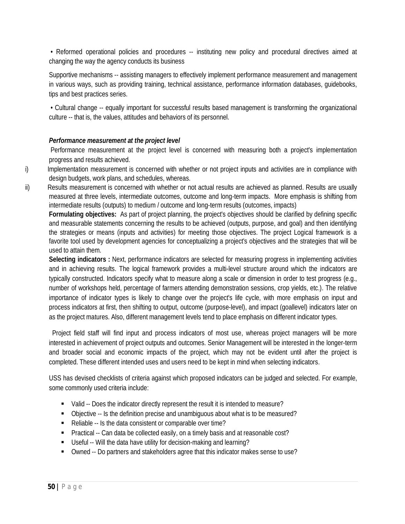• Reformed operational policies and procedures -- instituting new policy and procedural directives aimed at changing the way the agency conducts its business

Supportive mechanisms -- assisting managers to effectively implement performance measurement and management in various ways, such as providing training, technical assistance, performance information databases, guidebooks, tips and best practices series.

• Cultural change -- equally important for successful results based management is transforming the organizational culture -- that is, the values, attitudes and behaviors of its personnel.

## *Performance measurement at the project level*

Performance measurement at the project level is concerned with measuring both a project's implementation progress and results achieved.

- i) Implementation measurement is concerned with whether or not project inputs and activities are in compliance with design budgets, work plans, and schedules, whereas.
- ii) Results measurement is concerned with whether or not actual results are achieved as planned. Results are usually measured at three levels, intermediate outcomes, outcome and long-term impacts. More emphasis is shifting from intermediate results (outputs) to medium / outcome and long-term results (outcomes, impacts)

**Formulating objectives:** As part of project planning, the project's objectives should be clarified by defining specific and measurable statements concerning the results to be achieved (outputs, purpose, and goal) and then identifying the strategies or means (inputs and activities) for meeting those objectives. The project Logical framework is a favorite tool used by development agencies for conceptualizing a project's objectives and the strategies that will be used to attain them.

**Selecting indicators :** Next, performance indicators are selected for measuring progress in implementing activities and in achieving results. The logical framework provides a multi-level structure around which the indicators are typically constructed. Indicators specify what to measure along a scale or dimension in order to test progress (e.g., number of workshops held, percentage of farmers attending demonstration sessions, crop yields, etc.). The relative importance of indicator types is likely to change over the project's life cycle, with more emphasis on input and process indicators at first, then shifting to output, outcome (purpose-level), and impact (goallevel) indicators later on as the project matures. Also, different management levels tend to place emphasis on different indicator types.

 Project field staff will find input and process indicators of most use, whereas project managers will be more interested in achievement of project outputs and outcomes. Senior Management will be interested in the longer-term and broader social and economic impacts of the project, which may not be evident until after the project is completed. These different intended uses and users need to be kept in mind when selecting indicators.

USS has devised checklists of criteria against which proposed indicators can be judged and selected. For example, some commonly used criteria include:

- Valid -- Does the indicator directly represent the result it is intended to measure?
- Objective -- Is the definition precise and unambiguous about what is to be measured?
- Reliable -- Is the data consistent or comparable over time?
- **Practical -- Can data be collected easily, on a timely basis and at reasonable cost?**
- Useful -- Will the data have utility for decision-making and learning?
- Owned -- Do partners and stakeholders agree that this indicator makes sense to use?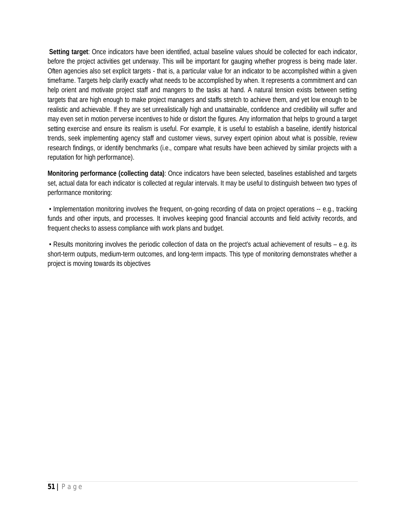**Setting target**: Once indicators have been identified, actual baseline values should be collected for each indicator, before the project activities get underway. This will be important for gauging whether progress is being made later. Often agencies also set explicit targets - that is, a particular value for an indicator to be accomplished within a given timeframe. Targets help clarify exactly what needs to be accomplished by when. It represents a commitment and can help orient and motivate project staff and mangers to the tasks at hand. A natural tension exists between setting targets that are high enough to make project managers and staffs stretch to achieve them, and yet low enough to be realistic and achievable. If they are set unrealistically high and unattainable, confidence and credibility will suffer and may even set in motion perverse incentives to hide or distort the figures. Any information that helps to ground a target setting exercise and ensure its realism is useful. For example, it is useful to establish a baseline, identify historical trends, seek implementing agency staff and customer views, survey expert opinion about what is possible, review research findings, or identify benchmarks (i.e., compare what results have been achieved by similar projects with a reputation for high performance).

**Monitoring performance (collecting data)**: Once indicators have been selected, baselines established and targets set, actual data for each indicator is collected at regular intervals. It may be useful to distinguish between two types of performance monitoring:

• Implementation monitoring involves the frequent, on-going recording of data on project operations -- e.g., tracking funds and other inputs, and processes. It involves keeping good financial accounts and field activity records, and frequent checks to assess compliance with work plans and budget.

• Results monitoring involves the periodic collection of data on the project's actual achievement of results – e.g. its short-term outputs, medium-term outcomes, and long-term impacts. This type of monitoring demonstrates whether a project is moving towards its objectives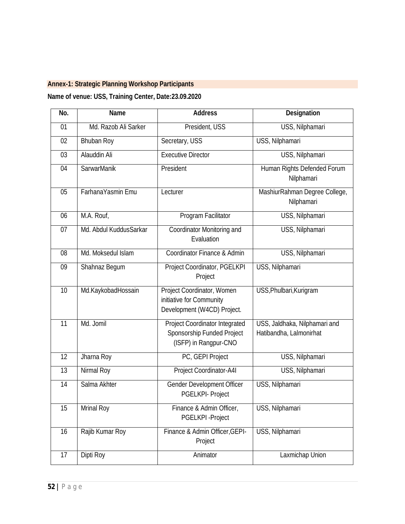# **Annex-1: Strategic Planning Workshop Participants**

# **Name of venue: USS, Training Center, Date:23.09.2020**

| No.             | <b>Name</b>            | <b>Address</b>                                                                               | <b>Designation</b>                                       |
|-----------------|------------------------|----------------------------------------------------------------------------------------------|----------------------------------------------------------|
| 01              | Md. Razob Ali Sarker   | President, USS                                                                               | USS, Nilphamari                                          |
| 02              | <b>Bhuban Roy</b>      | Secretary, USS                                                                               | USS, Nilphamari                                          |
| 03              | <b>Alauddin Ali</b>    | <b>Executive Director</b>                                                                    | USS, Nilphamari                                          |
| 04              | <b>SarwarManik</b>     | President                                                                                    | Human Rights Defended Forum<br>Nilphamari                |
| 05              | FarhanaYasmin Emu      | Lecturer                                                                                     | MashiurRahman Degree College,<br>Nilphamari              |
| 06              | M.A. Rouf,             | Program Facilitator                                                                          | USS, Nilphamari                                          |
| 07              | Md. Abdul KuddusSarkar | Coordinator Monitoring and<br>Evaluation                                                     | USS, Nilphamari                                          |
| 08              | Md. Moksedul Islam     | Coordinator Finance & Admin                                                                  | USS, Nilphamari                                          |
| 09              | Shahnaz Begum          | Project Coordinator, PGELKPI<br>Project                                                      | USS, Nilphamari                                          |
| $\overline{10}$ | Md.KaykobadHossain     | Project Coordinator, Women<br>initiative for Community<br>Development (W4CD) Project.        | USS, Phulbari, Kurigram                                  |
| 11              | Md. Jomil              | <b>Project Coordinator Integrated</b><br>Sponsorship Funded Project<br>(ISFP) in Rangpur-CNO | USS, Jaldhaka, Nilphamari and<br>Hatibandha, Lalmonirhat |
| 12              | Jharna Roy             | PC, GEPI Project                                                                             | USS, Nilphamari                                          |
| 13              | Nirmal Roy             | Project Coordinator-A4I                                                                      | USS, Nilphamari                                          |
| 14              | Salma Akhter           | <b>Gender Development Officer</b><br>PGELKPI- Project                                        | USS, Nilphamari                                          |
| 15              | <b>Mrinal Roy</b>      | Finance & Admin Officer,<br>PGELKPI-Project                                                  | USS, Nilphamari                                          |
| 16              | Rajib Kumar Roy        | Finance & Admin Officer, GEPI-<br>Project                                                    | USS, Nilphamari                                          |
| 17              | Dipti Roy              | Animator                                                                                     | Laxmichap Union                                          |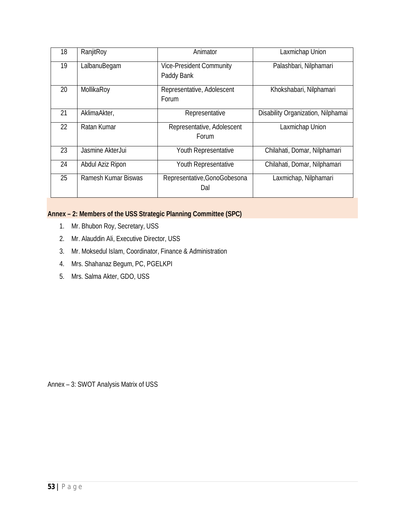| 18 | RanjitRoy           | Animator                                      | Laxmichap Union                    |
|----|---------------------|-----------------------------------------------|------------------------------------|
| 19 | LalbanuBegam        | <b>Vice-President Community</b><br>Paddy Bank | Palashbari, Nilphamari             |
| 20 | MollikaRoy          | Representative, Adolescent<br>Forum           | Khokshabari, Nilphamari            |
| 21 | AklimaAkter,        | Representative                                | Disability Organization, Nilphamai |
| 22 | Ratan Kumar         | Representative, Adolescent<br>Forum           | Laxmichap Union                    |
| 23 | Jasmine AkterJui    | Youth Representative                          | Chilahati, Domar, Nilphamari       |
| 24 | Abdul Aziz Ripon    | Youth Representative                          | Chilahati, Domar, Nilphamari       |
| 25 | Ramesh Kumar Biswas | Representative, Gono Gobesona<br>Dal          | Laxmichap, Nilphamari              |

# **Annex – 2: Members of the USS Strategic Planning Committee (SPC)**

- 1. Mr. Bhubon Roy, Secretary, USS
- 2. Mr. Alauddin Ali, Executive Director, USS
- 3. Mr. Moksedul Islam, Coordinator, Finance & Administration
- 4. Mrs. Shahanaz Begum, PC, PGELKPI
- 5. Mrs. Salma Akter, GDO, USS

Annex – 3: SWOT Analysis Matrix of USS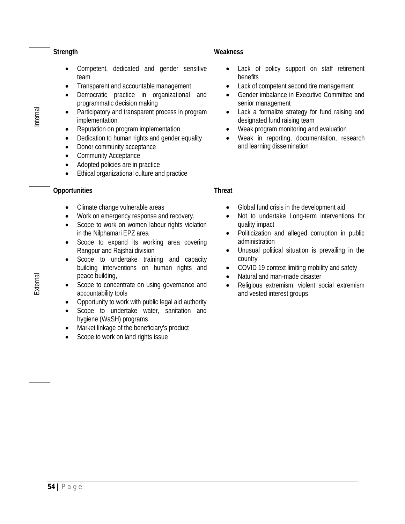|          | <b>Strength</b>                                                                                                                                                                                                                                                                                                                                                                                                                                                                                                                                                                                                                                                                                                                                       | <b>Weakness</b>                                                                                                                                                                                                                                                                                                                                                                                                                                                                                |
|----------|-------------------------------------------------------------------------------------------------------------------------------------------------------------------------------------------------------------------------------------------------------------------------------------------------------------------------------------------------------------------------------------------------------------------------------------------------------------------------------------------------------------------------------------------------------------------------------------------------------------------------------------------------------------------------------------------------------------------------------------------------------|------------------------------------------------------------------------------------------------------------------------------------------------------------------------------------------------------------------------------------------------------------------------------------------------------------------------------------------------------------------------------------------------------------------------------------------------------------------------------------------------|
| Internal | Competent, dedicated and gender sensitive<br>team<br>Transparent and accountable management<br>٠<br>Democratic practice in organizational and<br>$\bullet$<br>programmatic decision making<br>Participatory and transparent process in program<br>$\bullet$<br>implementation<br>Reputation on program implementation<br>$\bullet$<br>Dedication to human rights and gender equality<br>$\bullet$<br>Donor community acceptance<br>$\bullet$<br><b>Community Acceptance</b><br>$\bullet$<br>Adopted policies are in practice<br>$\bullet$<br>Ethical organizational culture and practice<br>$\bullet$                                                                                                                                                 | Lack of policy support on staff retirement<br>benefits<br>Lack of competent second tire management<br>٠<br>Gender imbalance in Executive Committee and<br>senior management<br>Lack a formalize strategy for fund raising and<br>$\bullet$<br>designated fund raising team<br>Weak program monitoring and evaluation<br>Weak in reporting, documentation, research<br>and learning dissemination                                                                                               |
|          | <b>Opportunities</b>                                                                                                                                                                                                                                                                                                                                                                                                                                                                                                                                                                                                                                                                                                                                  | <b>Threat</b>                                                                                                                                                                                                                                                                                                                                                                                                                                                                                  |
| External | Climate change vulnerable areas<br>$\bullet$<br>Work on emergency response and recovery.<br>$\bullet$<br>Scope to work on women labour rights violation<br>$\bullet$<br>in the Nilphamari EPZ area<br>Scope to expand its working area covering<br>$\bullet$<br>Rangpur and Rajshai division<br>Scope to undertake training and capacity<br>$\bullet$<br>building interventions on human rights and<br>peace building,<br>Scope to concentrate on using governance and<br>٠<br>accountability tools<br>Opportunity to work with public legal aid authority<br>$\bullet$<br>Scope to undertake water, sanitation and<br>$\bullet$<br>hygiene (WaSH) programs<br>Market linkage of the beneficiary's product<br>٠<br>Scope to work on land rights issue | Global fund crisis in the development aid<br>Not to undertake Long-term interventions for<br>$\bullet$<br>quality impact<br>Politicization and alleged corruption in public<br>$\bullet$<br>administration<br>Unusual political situation is prevailing in the<br>$\bullet$<br>country<br>COVID 19 context limiting mobility and safety<br>$\bullet$<br>Natural and man-made disaster<br>$\bullet$<br>Religious extremism, violent social extremism<br>$\bullet$<br>and vested interest groups |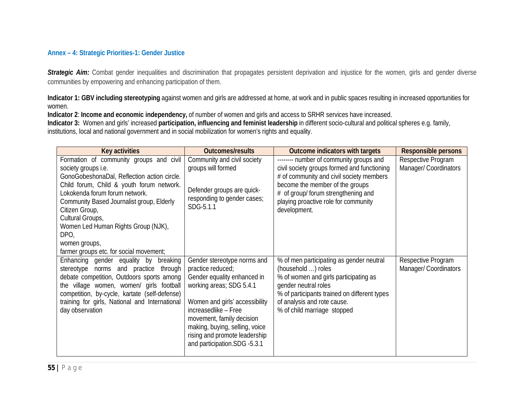#### **Annex – 4: Strategic Priorities-1: Gender Justice**

**Strategic Aim:** Combat gender inequalities and discrimination that propagates persistent deprivation and injustice for the women, girls and gender diverse communities by empowering and enhancing participation of them.

**Indicator 1: GBV including stereotyping** against women and girls are addressed at home, at work and in public spaces resulting in increased opportunities for women.

**Indicator 2**: **Income and economic independency,** of number of women and girls and access to SRHR services have increased.

**Indicator 3:** Women and girls' increased **participation, influencing and feminist leadership** in different socio-cultural and political spheres e.g. family, institutions, local and national government and in social mobilization for women's rights and equality.

| <b>Key activities</b>                          | <b>Outcomes/results</b>                  | <b>Outcome indicators with targets</b>       | <b>Responsible persons</b> |
|------------------------------------------------|------------------------------------------|----------------------------------------------|----------------------------|
| Formation of community groups and civil        | Community and civil society              | -------- number of community groups and      | Respective Program         |
| society groups i.e.                            | groups will formed                       | civil society groups formed and functioning  | Manager/ Coordinators      |
| GonoGobeshonaDal, Reflection action circle.    |                                          | # of community and civil society members     |                            |
| Child forum, Child & youth forum network.      |                                          | become the member of the groups              |                            |
| Lokokenda forum forum network.                 | Defender groups are quick-               | # of group/ forum strengthening and          |                            |
| Community Based Journalist group, Elderly      | responding to gender cases;<br>SDG-5.1.1 | playing proactive role for community         |                            |
| Citizen Group,                                 |                                          | development.                                 |                            |
| Cultural Groups,                               |                                          |                                              |                            |
| Women Led Human Rights Group (NJK),            |                                          |                                              |                            |
| DPO,                                           |                                          |                                              |                            |
| women groups,                                  |                                          |                                              |                            |
| farmer groups etc. for social movement;        |                                          |                                              |                            |
| Enhancing gender equality by<br>breaking       | Gender stereotype norms and              | % of men participating as gender neutral     | Respective Program         |
| stereotype norms and practice<br>through       | practice reduced;                        | (household ) roles                           | Manager/ Coordinators      |
| debate competition, Outdoors sports among      | Gender equality enhanced in              | % of women and girls participating as        |                            |
| the village women, women/ girls football       | working areas; SDG 5.4.1                 | gender neutral roles                         |                            |
| competition, by-cycle, kartate (self-defense)  |                                          | % of participants trained on different types |                            |
| training for girls, National and International | Women and girls' accessibility           | of analysis and rote cause.                  |                            |
| day observation                                | increasedlike - Free                     | % of child marriage stopped                  |                            |
|                                                | movement, family decision                |                                              |                            |
|                                                | making, buying, selling, voice           |                                              |                            |
|                                                | rising and promote leadership            |                                              |                            |
|                                                | and participation.SDG -5.3.1             |                                              |                            |
|                                                |                                          |                                              |                            |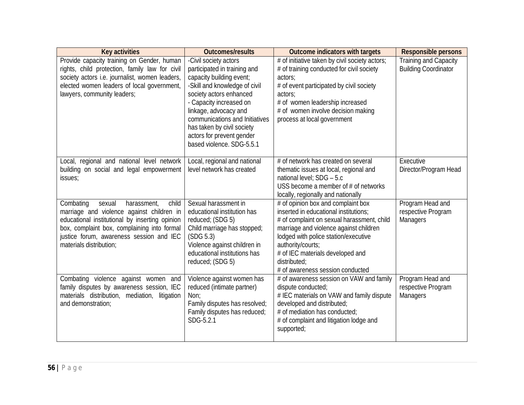| <b>Key activities</b>                                                                                                                                                                                                                                            | <b>Outcomes/results</b>                                                                                                                                                                                                                                                                                                     | <b>Outcome indicators with targets</b>                                                                                                                                                                                                                                                                                   | <b>Responsible persons</b>                                  |
|------------------------------------------------------------------------------------------------------------------------------------------------------------------------------------------------------------------------------------------------------------------|-----------------------------------------------------------------------------------------------------------------------------------------------------------------------------------------------------------------------------------------------------------------------------------------------------------------------------|--------------------------------------------------------------------------------------------------------------------------------------------------------------------------------------------------------------------------------------------------------------------------------------------------------------------------|-------------------------------------------------------------|
| Provide capacity training on Gender, human<br>rights, child protection, family law for civil<br>society actors i.e. journalist, women leaders,<br>elected women leaders of local government,<br>lawyers, community leaders;                                      | -Civil society actors<br>participated in training and<br>capacity building event;<br>-Skill and knowledge of civil<br>society actors enhanced<br>- Capacity increased on<br>linkage, advocacy and<br>communications and Initiatives<br>has taken by civil society<br>actors for prevent gender<br>based violence. SDG-5.5.1 | # of initiative taken by civil society actors;<br># of training conducted for civil society<br>actors;<br># of event participated by civil society<br>actors;<br># of women leadership increased<br># of women involve decision making<br>process at local government                                                    | <b>Training and Capacity</b><br><b>Building Coordinator</b> |
| Local, regional and national level network<br>building on social and legal empowerment<br>issues;                                                                                                                                                                | Local, regional and national<br>level network has created                                                                                                                                                                                                                                                                   | # of network has created on several<br>thematic issues at local, regional and<br>national level; SDG - 5.c<br>USS become a member of $#$ of networks<br>locally, regionally and nationally                                                                                                                               | Executive<br>Director/Program Head                          |
| Combating<br>child<br>sexual<br>harassment,<br>marriage and violence against children in<br>educational institutional by inserting opinion<br>box, complaint box, complaining into formal<br>justice forum, awareness session and IEC<br>materials distribution; | Sexual harassment in<br>educational institution has<br>reduced; (SDG 5)<br>Child marriage has stopped;<br>(SDG 5.3)<br>Violence against children in<br>educational institutions has<br>reduced; (SDG 5)                                                                                                                     | # of opinion box and complaint box<br>inserted in educational institutions;<br># of complaint on sexual harassment, child<br>marriage and violence against children<br>lodged with police station/executive<br>authority/courts;<br># of IEC materials developed and<br>distributed;<br># of awareness session conducted | Program Head and<br>respective Program<br><b>Managers</b>   |
| Combating violence against women and<br>family disputes by awareness session, IEC<br>materials distribution, mediation, litigation<br>and demonstration;                                                                                                         | Violence against women has<br>reduced (intimate partner)<br>Non:<br>Family disputes has resolved;<br>Family disputes has reduced;<br>SDG-5.2.1                                                                                                                                                                              | # of awareness session on VAW and family<br>dispute conducted;<br># IEC materials on VAW and family dispute<br>developed and distributed;<br># of mediation has conducted;<br># of complaint and litigation lodge and<br>supported;                                                                                      | Program Head and<br>respective Program<br><b>Managers</b>   |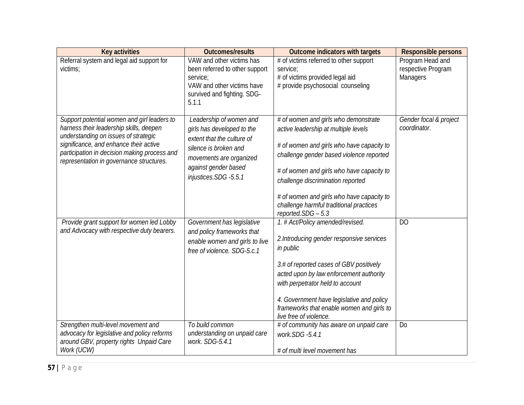| <b>Key activities</b>                                                                                                                                                                                                                                                | <b>Outcomes/results</b>                                                                                                                                                                  | <b>Outcome indicators with targets</b>                                                                                                                                                                                                                                                                                                                                | <b>Responsible persons</b>                                |
|----------------------------------------------------------------------------------------------------------------------------------------------------------------------------------------------------------------------------------------------------------------------|------------------------------------------------------------------------------------------------------------------------------------------------------------------------------------------|-----------------------------------------------------------------------------------------------------------------------------------------------------------------------------------------------------------------------------------------------------------------------------------------------------------------------------------------------------------------------|-----------------------------------------------------------|
| Referral system and legal aid support for<br>victims;                                                                                                                                                                                                                | VAW and other victims has<br>been referred to other support<br>service:<br>VAW and other victims have<br>survived and fighting. SDG-<br>5.1.1                                            | # of victims referred to other support<br>service:<br># of victims provided legal aid<br># provide psychosocial counseling                                                                                                                                                                                                                                            | Program Head and<br>respective Program<br><b>Managers</b> |
| Support potential women and girl leaders to<br>harness their leadership skills, deepen<br>understanding on issues of strategic<br>significance, and enhance their active<br>participation in decision making process and<br>representation in governance structures. | Leadership of women and<br>girls has developed to the<br>extent that the culture of<br>silence is broken and<br>movements are organized<br>against gender based<br>injustices.SDG -5.5.1 | # of women and girls who demonstrate<br>active leadership at multiple levels<br># of women and girls who have capacity to<br>challenge gender based violence reported<br># of women and girls who have capacity to<br>challenge discrimination reported<br># of women and girls who have capacity to<br>challenge harmful traditional practices<br>reported.SDG - 5.3 | Gender focal & project<br>coordinator.                    |
| Provide grant support for women led Lobby<br>and Advocacy with respective duty bearers.                                                                                                                                                                              | Government has legislative<br>and policy frameworks that<br>enable women and girls to live<br>free of violence. SDG-5.c.1                                                                | 1. # Act/Policy amended/revised.<br>2. Introducing gender responsive services<br>in public<br>3.# of reported cases of GBV positively<br>acted upon by law enforcement authority<br>with perpetrator held to account<br>4. Government have legislative and policy<br>frameworks that enable women and girls to<br>live free of violence.                              | D <sub>O</sub>                                            |
| Strengthen multi-level movement and<br>advocacy for legislative and policy reforms<br>around GBV, property rights Unpaid Care<br>Work (UCW)                                                                                                                          | To build common<br>understanding on unpaid care<br>work. SDG-5.4.1                                                                                                                       | # of community has aware on unpaid care<br>work.SDG -5.4.1<br># of multi level movement has                                                                                                                                                                                                                                                                           | D <sub>0</sub>                                            |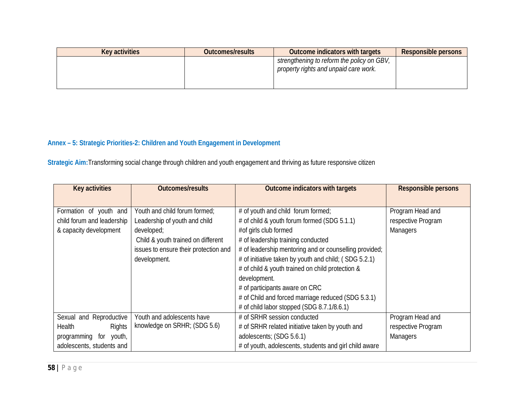| <b>Key activities</b> | <b>Outcomes/results</b> | <b>Outcome indicators with targets</b>                                              | <b>Responsible persons</b> |
|-----------------------|-------------------------|-------------------------------------------------------------------------------------|----------------------------|
|                       |                         | strengthening to reform the policy on GBV,<br>property rights and unpaid care work. |                            |

# **Annex – 5: Strategic Priorities-2: Children and Youth Engagement in Development**

**Strategic Aim:**Transforming social change through children and youth engagement and thriving as future responsive citizen

| <b>Key activities</b>      | <b>Outcomes/results</b>               | <b>Outcome indicators with targets</b>                 | <b>Responsible persons</b> |
|----------------------------|---------------------------------------|--------------------------------------------------------|----------------------------|
|                            |                                       |                                                        |                            |
| Formation of youth and     | Youth and child forum formed;         | # of youth and child forum formed;                     | Program Head and           |
| child forum and leadership | Leadership of youth and child         | # of child & youth forum formed (SDG 5.1.1)            | respective Program         |
| & capacity development     | developed;                            | #of girls club formed                                  | <b>Managers</b>            |
|                            | Child & youth trained on different    | # of leadership training conducted                     |                            |
|                            | issues to ensure their protection and | # of leadership mentoring and or counselling provided; |                            |
|                            | development.                          | # of initiative taken by youth and child; (SDG 5.2.1)  |                            |
|                            |                                       | # of child & youth trained on child protection &       |                            |
|                            |                                       | development.                                           |                            |
|                            |                                       | # of participants aware on CRC                         |                            |
|                            |                                       | # of Child and forced marriage reduced (SDG 5.3.1)     |                            |
|                            |                                       | # of child labor stopped (SDG 8.7.1/8.6.1)             |                            |
| Sexual and Reproductive    | Youth and adolescents have            | # of SRHR session conducted                            | Program Head and           |
| Health<br>Rights           | knowledge on SRHR; (SDG 5.6)          | # of SRHR related initiative taken by youth and        | respective Program         |
| programming for youth,     |                                       | adolescents; (SDG 5.6.1)                               | <b>Managers</b>            |
| adolescents, students and  |                                       | # of youth, adolescents, students and girl child aware |                            |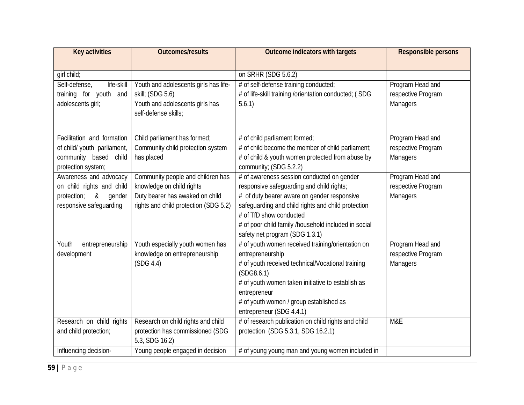| <b>Key activities</b>       | <b>Outcomes/results</b>               | <b>Outcome indicators with targets</b>                  | <b>Responsible persons</b> |
|-----------------------------|---------------------------------------|---------------------------------------------------------|----------------------------|
|                             |                                       |                                                         |                            |
| girl child;                 |                                       | on SRHR (SDG 5.6.2)                                     |                            |
| life-skill<br>Self-defense, | Youth and adolescents girls has life- | # of self-defense training conducted;                   | Program Head and           |
| training for youth and      | skill; (SDG 5.6)                      | # of life-skill training /orientation conducted; (SDG   | respective Program         |
| adolescents girl;           | Youth and adolescents girls has       | 5.6.1)                                                  | Managers                   |
|                             | self-defense skills;                  |                                                         |                            |
|                             |                                       |                                                         |                            |
| Facilitation and formation  | Child parliament has formed;          | # of child parliament formed;                           | Program Head and           |
| of child/ youth parliament, | Community child protection system     | # of child become the member of child parliament;       | respective Program         |
| community based child       | has placed                            | # of child & youth women protected from abuse by        | Managers                   |
| protection system;          |                                       | community; (SDG 5.2.2)                                  |                            |
| Awareness and advocacy      | Community people and children has     | # of awareness session conducted on gender              | Program Head and           |
| on child rights and child   | knowledge on child rights             | responsive safeguarding and child rights;               | respective Program         |
| protection;<br>&<br>gender  | Duty bearer has awaked on child       | # of duty bearer aware on gender responsive             | Managers                   |
| responsive safeguarding     | rights and child protection (SDG 5.2) | safeguarding and child rights and child protection      |                            |
|                             |                                       | # of TfD show conducted                                 |                            |
|                             |                                       | # of poor child family /household included in social    |                            |
|                             |                                       | safety net program (SDG 1.3.1)                          |                            |
| Youth<br>entrepreneurship   | Youth especially youth women has      | # of youth women received training/orientation on       | Program Head and           |
| development                 | knowledge on entrepreneurship         | entrepreneurship                                        | respective Program         |
|                             | (SDG 4.4)                             | # of youth received technical/Vocational training       | <b>Managers</b>            |
|                             |                                       | (SDG8.6.1)                                              |                            |
|                             |                                       | # of youth women taken initiative to establish as       |                            |
|                             |                                       | entrepreneur<br># of youth women / group established as |                            |
|                             |                                       | entrepreneur (SDG 4.4.1)                                |                            |
| Research on child rights    | Research on child rights and child    | # of research publication on child rights and child     | M&E                        |
| and child protection;       | protection has commissioned (SDG      | protection (SDG 5.3.1, SDG 16.2.1)                      |                            |
|                             | 5.3, SDG 16.2)                        |                                                         |                            |
| Influencing decision-       | Young people engaged in decision      | # of young young man and young women included in        |                            |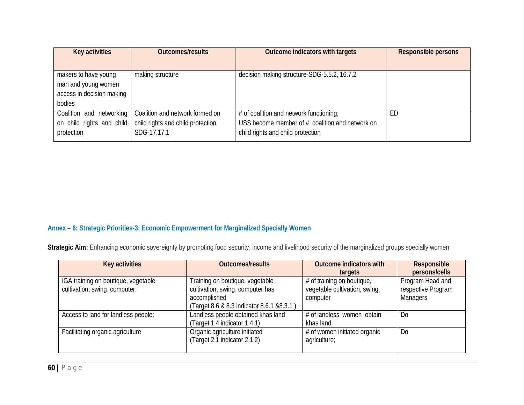| <b>Key activities</b>     | <b>Outcomes/results</b>           | <b>Outcome indicators with targets</b>            | <b>Responsible persons</b> |
|---------------------------|-----------------------------------|---------------------------------------------------|----------------------------|
|                           |                                   |                                                   |                            |
| makers to have young      | making structure                  | decision making structure-SDG-5.5.2, 16.7.2       |                            |
| man and young women       |                                   |                                                   |                            |
| access in decision making |                                   |                                                   |                            |
| bodies                    |                                   |                                                   |                            |
| Coalition and networking  | Coalition and network formed on   | # of coalition and network functioning;           | ED                         |
| on child rights and child | child rights and child protection | USS become member of $#$ coalition and network on |                            |
| protection                | SDG-17.17.1                       | child rights and child protection                 |                            |

# **Annex – 6: Strategic Priorities-3: Economic Empowerment for Marginalized Specially Women**

Strategic Aim: Enhancing economic sovereignty by promoting food security, income and livelihood security of the marginalized groups specially women

| <b>Key activities</b>                                                | <b>Outcomes/results</b>                                                                                                           | <b>Outcome indicators with</b><br>targets                               | <b>Responsible</b><br>persons/cells                       |
|----------------------------------------------------------------------|-----------------------------------------------------------------------------------------------------------------------------------|-------------------------------------------------------------------------|-----------------------------------------------------------|
| IGA training on boutique, vegetable<br>cultivation, swing, computer; | Training on boutique, vegetable<br>cultivation, swing, computer has<br>accomplished<br>(Target 8.6 & 8.3 indicator 8.6.1 & 8.3.1) | # of training on boutique,<br>vegetable cultivation, swing,<br>computer | Program Head and<br>respective Program<br><b>Managers</b> |
| Access to land for landless people;                                  | Landless people obtained khas land<br>(Target 1.4 indicator 1.4.1)                                                                | # of landless women obtain<br>khas land                                 | D <sub>0</sub>                                            |
| Facilitating organic agriculture                                     | Organic agriculture initiated<br>(Target 2.1 indicator 2.1.2)                                                                     | # of women initiated organic<br>agriculture;                            | D <sub>0</sub>                                            |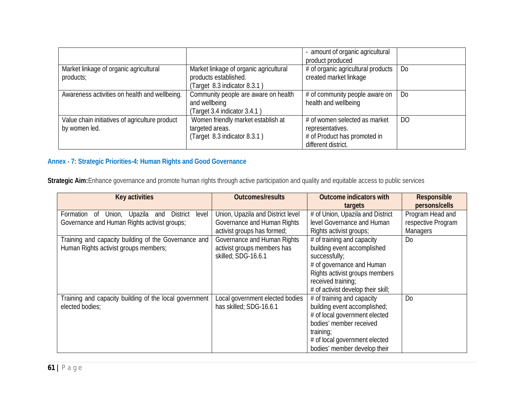|                                                |                                                       | - amount of organic agricultural<br>product produced         |                |
|------------------------------------------------|-------------------------------------------------------|--------------------------------------------------------------|----------------|
| Market linkage of organic agricultural         | Market linkage of organic agricultural                | # of organic agricultural products<br>created market linkage | D <sub>0</sub> |
| products;                                      | products established.<br>(Target 8.3 indicator 8.3.1) |                                                              |                |
| Awareness activities on health and wellbeing.  | Community people are aware on health                  | # of community people aware on                               | D <sub>0</sub> |
|                                                | and wellbeing                                         | health and wellbeing                                         |                |
|                                                | (Target 3.4 indicator 3.4.1)                          |                                                              |                |
| Value chain initiatives of agriculture product | Women friendly market establish at                    | # of women selected as market                                | D <sub>O</sub> |
| by women led.                                  | targeted areas.                                       | representatives.                                             |                |
|                                                | (Target 8.3 indicator 8.3.1)                          | # of Product has promoted in                                 |                |
|                                                |                                                       | different district.                                          |                |

# **Annex - 7: Strategic Priorities-4: Human Rights and Good Governance**

**Strategic Aim:**Enhance governance and promote human rights through active participation and quality and equitable access to public services

| <b>Key activities</b>                                                                                                                                                                                                    | <b>Outcomes/results</b>                                                                                                                                                              | <b>Outcome indicators with</b>                                                                                                                                                                                                                                                                                  | <b>Responsible</b>                                                                           |
|--------------------------------------------------------------------------------------------------------------------------------------------------------------------------------------------------------------------------|--------------------------------------------------------------------------------------------------------------------------------------------------------------------------------------|-----------------------------------------------------------------------------------------------------------------------------------------------------------------------------------------------------------------------------------------------------------------------------------------------------------------|----------------------------------------------------------------------------------------------|
| <b>District</b><br>Formation<br>Union,<br>Upazila<br>level<br>0f<br>and<br>Governance and Human Rights activist groups;<br>Training and capacity building of the Governance and<br>Human Rights activist groups members; | Union, Upazila and District level<br>Governance and Human Rights<br>activist groups has formed;<br>Governance and Human Rights<br>activist groups members has<br>skilled; SDG-16.6.1 | targets<br>$#$ of Union, Upazila and District<br>level Governance and Human<br>Rights activist groups;<br># of training and capacity<br>building event accomplished<br>successfully;<br># of governance and Human<br>Rights activist groups members<br>received training;<br># of activist develop their skill; | persons/cells<br>Program Head and<br>respective Program<br><b>Managers</b><br>D <sub>0</sub> |
| Training and capacity building of the local government<br>elected bodies:                                                                                                                                                | Local government elected bodies<br>has skilled; SDG-16.6.1                                                                                                                           | # of training and capacity<br>building event accomplished;<br># of local government elected<br>bodies' member received<br>training;<br># of local government elected<br>bodies' member develop their                                                                                                            | D <sub>0</sub>                                                                               |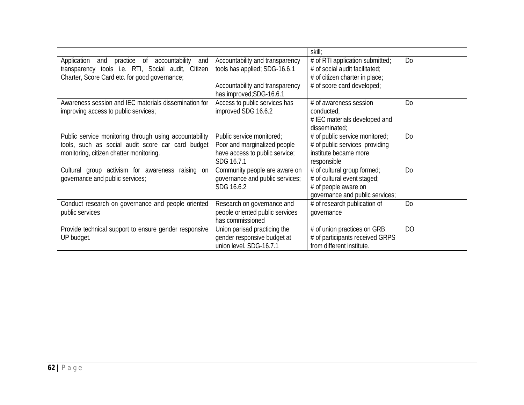|                                                                                                                                                          |                                                                                                           | skill;                                                                                                                |                |
|----------------------------------------------------------------------------------------------------------------------------------------------------------|-----------------------------------------------------------------------------------------------------------|-----------------------------------------------------------------------------------------------------------------------|----------------|
| Application and practice of accountability<br>and<br>transparency tools i.e. RTI, Social audit, Citizen<br>Charter, Score Card etc. for good governance; | Accountability and transparency<br>tools has applied; SDG-16.6.1                                          | # of RTI application submitted;<br># of social audit facilitated;<br># of citizen charter in place;                   | D <sub>o</sub> |
|                                                                                                                                                          | Accountability and transparency<br>has improved; SDG-16.6.1                                               | # of score card developed;                                                                                            |                |
| Awareness session and IEC materials dissemination for<br>improving access to public services;                                                            | Access to public services has<br>improved SDG 16.6.2                                                      | # of awareness session<br>conducted;<br># IEC materials developed and<br>disseminated;                                | D <sub>0</sub> |
| Public service monitoring through using accountability<br>tools, such as social audit score car card budget<br>monitoring, citizen chatter monitoring.   | Public service monitored;<br>Poor and marginalized people<br>have access to public service;<br>SDG 16.7.1 | # of public service monitored;<br># of public services providing<br>institute became more<br>responsible              | D <sub>o</sub> |
| Cultural group activism for awareness raising on<br>governance and public services;                                                                      | Community people are aware on<br>governance and public services;<br>SDG 16.6.2                            | # of cultural group formed;<br># of cultural event staged;<br># of people aware on<br>governance and public services; | D <sub>o</sub> |
| Conduct research on governance and people oriented<br>public services                                                                                    | Research on governance and<br>people oriented public services<br>has commissioned                         | # of research publication of<br>governance                                                                            | D <sub>0</sub> |
| Provide technical support to ensure gender responsive<br>UP budget.                                                                                      | Union parisad practicing the<br>gender responsive budget at<br>union level. SDG-16.7.1                    | # of union practices on GRB<br># of participants received GRPS<br>from different institute.                           | D <sub>O</sub> |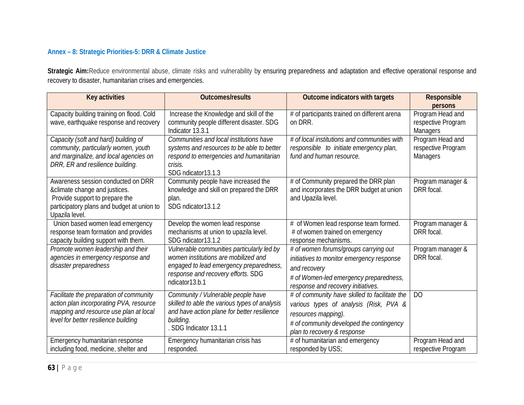## **Annex – 8: Strategic Priorities-5: DRR & Climate Justice**

Strategic Aim:Reduce environmental abuse, climate risks and vulnerability by ensuring preparedness and adaptation and effective operational response and recovery to disaster, humanitarian crises and emergencies.

| <b>Key activities</b>                                            | <b>Outcomes/results</b>                          | <b>Outcome indicators with targets</b>                         | <b>Responsible</b>              |
|------------------------------------------------------------------|--------------------------------------------------|----------------------------------------------------------------|---------------------------------|
|                                                                  |                                                  |                                                                | <b>persons</b>                  |
| Capacity building training on flood. Cold                        | Increase the Knowledge and skill of the          | # of participants trained on different arena                   | Program Head and                |
| wave, earthquake response and recovery                           | community people different disaster. SDG         | on DRR.                                                        | respective Program              |
|                                                                  | Indicator 13.3.1                                 |                                                                | <b>Managers</b>                 |
| Capacity (soft and hard) building of                             | Communities and local institutions have          | # of local institutions and communities with                   | Program Head and                |
| community, particularly women, youth                             | systems and resources to be able to better       | responsible to initiate emergency plan,                        | respective Program              |
| and marginalize, and local agencies on                           | respond to emergencies and humanitarian          | fund and human resource.                                       | <b>Managers</b>                 |
| DRR, ER and resilience building.                                 | crisis.                                          |                                                                |                                 |
|                                                                  | SDG ndicator 13.1.3                              |                                                                |                                 |
| Awareness session conducted on DRR                               | Community people have increased the              | # of Community prepared the DRR plan                           | Program manager &<br>DRR focal. |
| & climate change and justices.<br>Provide support to prepare the | knowledge and skill on prepared the DRR<br>plan. | and incorporates the DRR budget at union<br>and Upazila level. |                                 |
| participatory plans and budget at union to                       | SDG ndicator13.1.2                               |                                                                |                                 |
| Upazila level.                                                   |                                                  |                                                                |                                 |
| Union based women lead emergency                                 | Develop the women lead response                  | # of Women lead response team formed.                          | Program manager &               |
| response team formation and provides                             | mechanisms at union to upazila level.            | # of women trained on emergency                                | DRR focal.                      |
| capacity building support with them.                             | SDG ndicator13.1.2                               | response mechanisms.                                           |                                 |
| Promote women leadership and their                               | Vulnerable communities particularly led by       | # of women forums/groups carrying out                          | Program manager &               |
| agencies in emergency response and                               | women institutions are mobilized and             | initiatives to monitor emergency response                      | DRR focal.                      |
| disaster preparedness                                            | engaged to lead emergency preparedness,          | and recovery                                                   |                                 |
|                                                                  | response and recovery efforts. SDG               | # of Women-led emergency preparedness,                         |                                 |
|                                                                  | ndicator13.b.1                                   | response and recovery initiatives.                             |                                 |
| Facilitate the preparation of community                          | Community / Vulnerable people have               | # of community have skilled to facilitate the                  | D <sub>O</sub>                  |
| action plan incorporating PVA, resource                          | skilled to able the various types of analysis    | various types of analysis (Risk, PVA &                         |                                 |
| mapping and resource use plan at local                           | and have action plane for better resilience      |                                                                |                                 |
| level for better resilience building                             | building.                                        | resources mapping).                                            |                                 |
|                                                                  | . SDG Indicator 13.1.1                           | # of community developed the contingency                       |                                 |
|                                                                  |                                                  | plan to recovery & response                                    |                                 |
| Emergency humanitarian response                                  | Emergency humanitarian crisis has                | # of humanitarian and emergency                                | Program Head and                |
| including food, medicine, shelter and                            | responded.                                       | responded by USS;                                              | respective Program              |